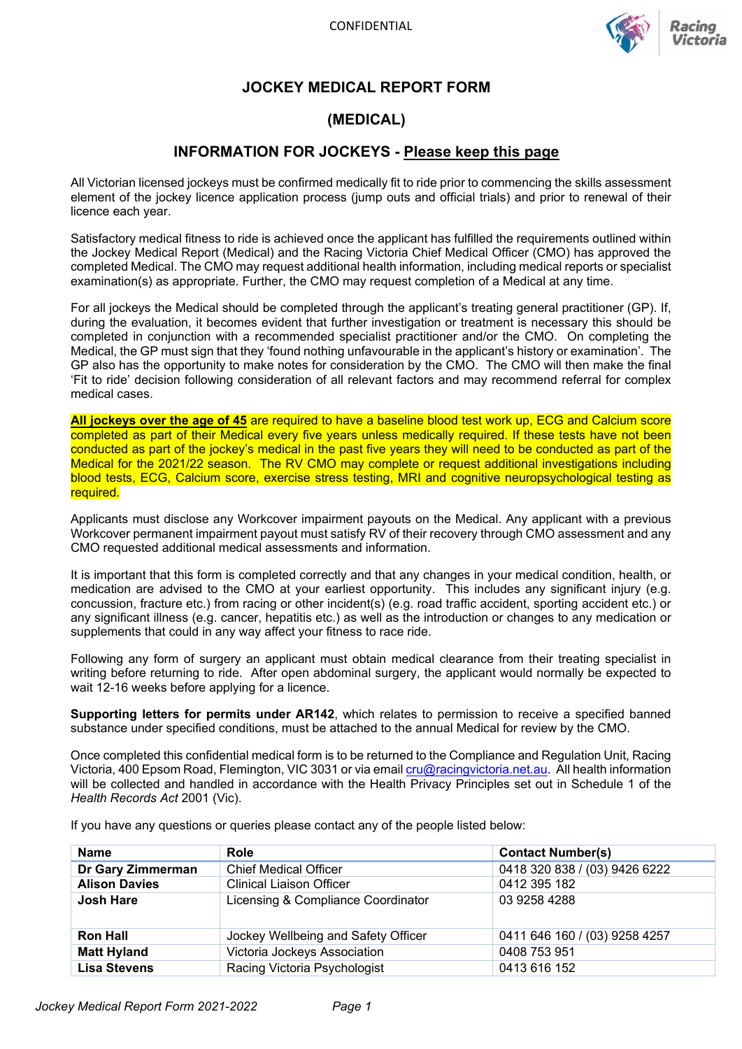

## **JOCKEY MEDICAL REPORT FORM**

## **(MEDICAL)**

## **INFORMATION FOR JOCKEYS - Please keep this page**

All Victorian licensed jockeys must be confirmed medically fit to ride prior to commencing the skills assessment element of the jockey licence application process (jump outs and official trials) and prior to renewal of their licence each year.

Satisfactory medical fitness to ride is achieved once the applicant has fulfilled the requirements outlined within the Jockey Medical Report (Medical) and the Racing Victoria Chief Medical Officer (CMO) has approved the completed Medical. The CMO may request additional health information, including medical reports or specialist examination(s) as appropriate. Further, the CMO may request completion of a Medical at any time.

For all jockeys the Medical should be completed through the applicant's treating general practitioner (GP). If, during the evaluation, it becomes evident that further investigation or treatment is necessary this should be completed in conjunction with a recommended specialist practitioner and/or the CMO. On completing the Medical, the GP must sign that they 'found nothing unfavourable in the applicant's history or examination'. The GP also has the opportunity to make notes for consideration by the CMO. The CMO will then make the final 'Fit to ride' decision following consideration of all relevant factors and may recommend referral for complex medical cases.

**All jockeys over the age of 45** are required to have a baseline blood test work up, ECG and Calcium score completed as part of their Medical every five years unless medically required. If these tests have not been conducted as part of the jockey's medical in the past five years they will need to be conducted as part of the Medical for the 2021/22 season. The RV CMO may complete or request additional investigations including blood tests, ECG, Calcium score, exercise stress testing, MRI and cognitive neuropsychological testing as required.

Applicants must disclose any Workcover impairment payouts on the Medical. Any applicant with a previous Workcover permanent impairment payout must satisfy RV of their recovery through CMO assessment and any CMO requested additional medical assessments and information.

It is important that this form is completed correctly and that any changes in your medical condition, health, or medication are advised to the CMO at your earliest opportunity. This includes any significant injury (e.g. concussion, fracture etc.) from racing or other incident(s) (e.g. road traffic accident, sporting accident etc.) or any significant illness (e.g. cancer, hepatitis etc.) as well as the introduction or changes to any medication or supplements that could in any way affect your fitness to race ride.

Following any form of surgery an applicant must obtain medical clearance from their treating specialist in writing before returning to ride. After open abdominal surgery, the applicant would normally be expected to wait 12-16 weeks before applying for a licence.

**Supporting letters for permits under AR142**, which relates to permission to receive a specified banned substance under specified conditions, must be attached to the annual Medical for review by the CMO.

Once completed this confidential medical form is to be returned to the Compliance and Regulation Unit, Racing Victoria, 400 Epsom Road, Flemington, VIC 3031 or via email [cru@racingvictoria.net.au.](mailto:cru@racingvictoria.net.au) All health information will be collected and handled in accordance with the Health Privacy Principles set out in Schedule 1 of the *Health Records Act* 2001 (Vic).

| <b>Name</b>          | Role                                | <b>Contact Number(s)</b>      |
|----------------------|-------------------------------------|-------------------------------|
| Dr Gary Zimmerman    | <b>Chief Medical Officer</b>        | 0418 320 838 / (03) 9426 6222 |
| <b>Alison Davies</b> | <b>Clinical Liaison Officer</b>     | 0412 395 182                  |
| <b>Josh Hare</b>     | Licensing & Compliance Coordinator  | 03 9258 4288                  |
| <b>Ron Hall</b>      | Jockey Wellbeing and Safety Officer | 0411 646 160 / (03) 9258 4257 |
| <b>Matt Hyland</b>   | Victoria Jockeys Association        | 0408 753 951                  |
| <b>Lisa Stevens</b>  | Racing Victoria Psychologist        | 0413 616 152                  |

If you have any questions or queries please contact any of the people listed below: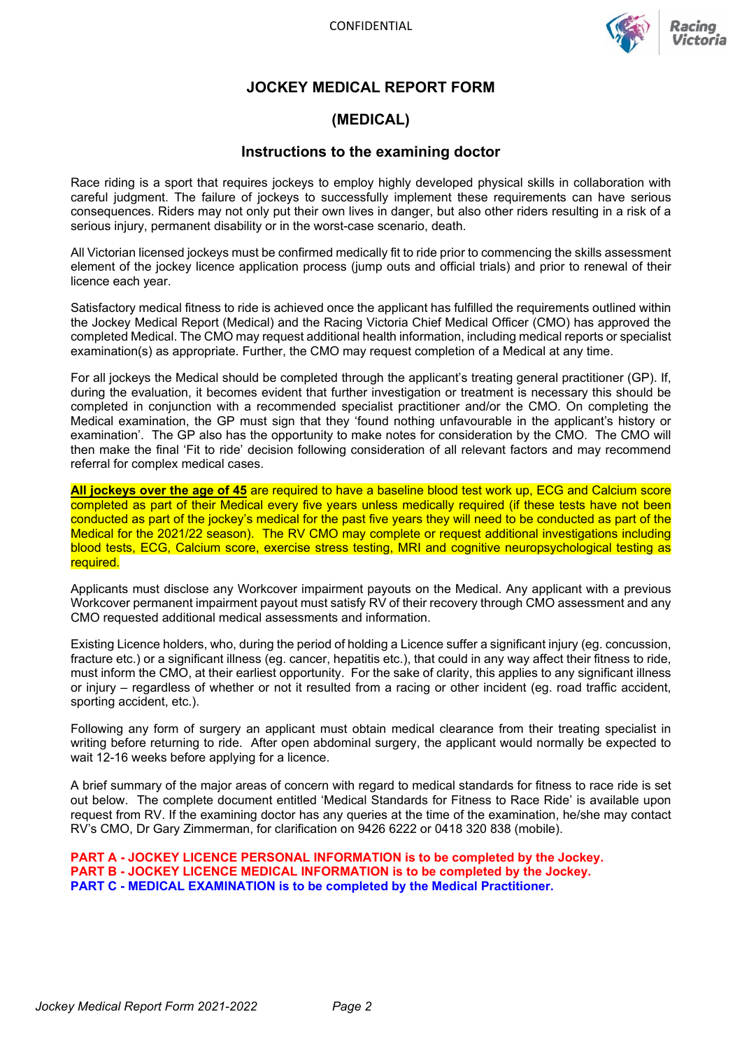

## **JOCKEY MEDICAL REPORT FORM**

## **(MEDICAL)**

### **Instructions to the examining doctor**

Race riding is a sport that requires jockeys to employ highly developed physical skills in collaboration with careful judgment. The failure of jockeys to successfully implement these requirements can have serious consequences. Riders may not only put their own lives in danger, but also other riders resulting in a risk of a serious injury, permanent disability or in the worst-case scenario, death.

All Victorian licensed jockeys must be confirmed medically fit to ride prior to commencing the skills assessment element of the jockey licence application process (jump outs and official trials) and prior to renewal of their licence each year.

Satisfactory medical fitness to ride is achieved once the applicant has fulfilled the requirements outlined within the Jockey Medical Report (Medical) and the Racing Victoria Chief Medical Officer (CMO) has approved the completed Medical. The CMO may request additional health information, including medical reports or specialist examination(s) as appropriate. Further, the CMO may request completion of a Medical at any time.

For all jockeys the Medical should be completed through the applicant's treating general practitioner (GP). If, during the evaluation, it becomes evident that further investigation or treatment is necessary this should be completed in conjunction with a recommended specialist practitioner and/or the CMO. On completing the Medical examination, the GP must sign that they 'found nothing unfavourable in the applicant's history or examination'. The GP also has the opportunity to make notes for consideration by the CMO. The CMO will then make the final 'Fit to ride' decision following consideration of all relevant factors and may recommend referral for complex medical cases.

**All jockeys over the age of 45** are required to have a baseline blood test work up, ECG and Calcium score completed as part of their Medical every five years unless medically required (if these tests have not been conducted as part of the jockey's medical for the past five years they will need to be conducted as part of the Medical for the 2021/22 season). The RV CMO may complete or request additional investigations including blood tests, ECG, Calcium score, exercise stress testing, MRI and cognitive neuropsychological testing as required.

Applicants must disclose any Workcover impairment payouts on the Medical. Any applicant with a previous Workcover permanent impairment payout must satisfy RV of their recovery through CMO assessment and any CMO requested additional medical assessments and information.

Existing Licence holders, who, during the period of holding a Licence suffer a significant injury (eg. concussion, fracture etc.) or a significant illness (eg. cancer, hepatitis etc.), that could in any way affect their fitness to ride, must inform the CMO, at their earliest opportunity. For the sake of clarity, this applies to any significant illness or injury – regardless of whether or not it resulted from a racing or other incident (eg. road traffic accident, sporting accident, etc.).

Following any form of surgery an applicant must obtain medical clearance from their treating specialist in writing before returning to ride. After open abdominal surgery, the applicant would normally be expected to wait 12-16 weeks before applying for a licence.

A brief summary of the major areas of concern with regard to medical standards for fitness to race ride is set out below. The complete document entitled 'Medical Standards for Fitness to Race Ride' is available upon request from RV. If the examining doctor has any queries at the time of the examination, he/she may contact RV's CMO, Dr Gary Zimmerman, for clarification on 9426 6222 or 0418 320 838 (mobile).

**PART A - JOCKEY LICENCE PERSONAL INFORMATION is to be completed by the Jockey. PART B - JOCKEY LICENCE MEDICAL INFORMATION is to be completed by the Jockey. PART C - MEDICAL EXAMINATION is to be completed by the Medical Practitioner.**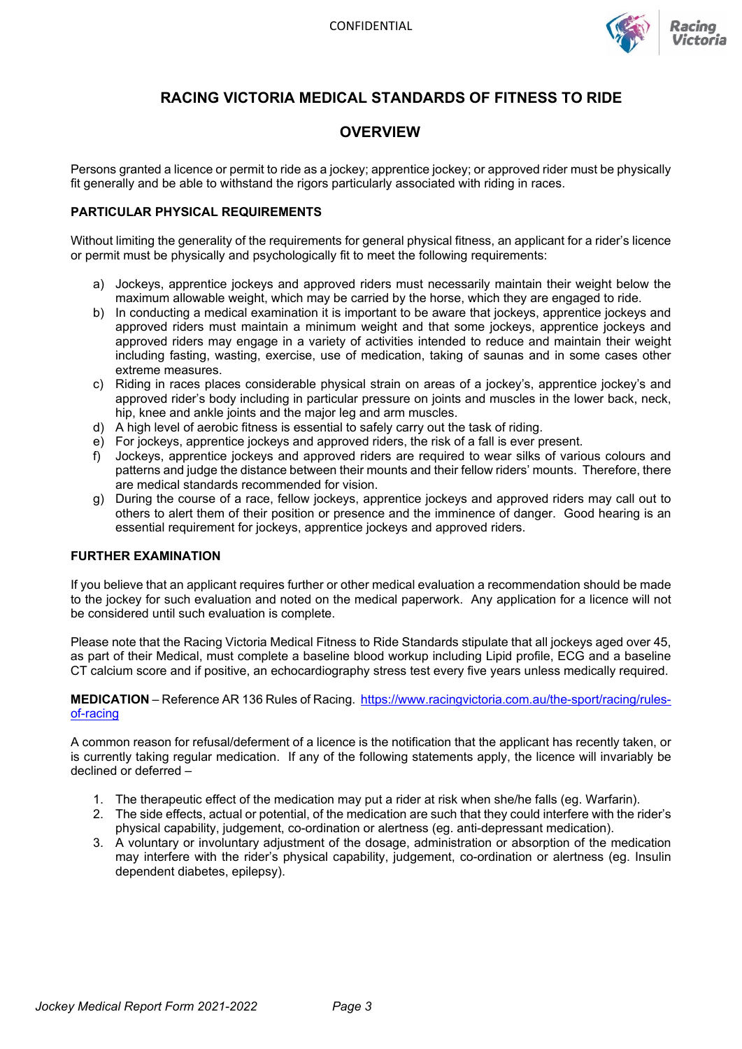

## **RACING VICTORIA MEDICAL STANDARDS OF FITNESS TO RIDE**

### **OVERVIEW**

Persons granted a licence or permit to ride as a jockey; apprentice jockey; or approved rider must be physically fit generally and be able to withstand the rigors particularly associated with riding in races.

### **PARTICULAR PHYSICAL REQUIREMENTS**

Without limiting the generality of the requirements for general physical fitness, an applicant for a rider's licence or permit must be physically and psychologically fit to meet the following requirements:

- a) Jockeys, apprentice jockeys and approved riders must necessarily maintain their weight below the maximum allowable weight, which may be carried by the horse, which they are engaged to ride.
- b) In conducting a medical examination it is important to be aware that jockeys, apprentice jockeys and approved riders must maintain a minimum weight and that some jockeys, apprentice jockeys and approved riders may engage in a variety of activities intended to reduce and maintain their weight including fasting, wasting, exercise, use of medication, taking of saunas and in some cases other extreme measures.
- c) Riding in races places considerable physical strain on areas of a jockey's, apprentice jockey's and approved rider's body including in particular pressure on joints and muscles in the lower back, neck, hip, knee and ankle joints and the major leg and arm muscles.
- d) A high level of aerobic fitness is essential to safely carry out the task of riding.
- e) For jockeys, apprentice jockeys and approved riders, the risk of a fall is ever present.
- f) Jockeys, apprentice jockeys and approved riders are required to wear silks of various colours and patterns and judge the distance between their mounts and their fellow riders' mounts. Therefore, there are medical standards recommended for vision.
- g) During the course of a race, fellow jockeys, apprentice jockeys and approved riders may call out to others to alert them of their position or presence and the imminence of danger. Good hearing is an essential requirement for jockeys, apprentice jockeys and approved riders.

### **FURTHER EXAMINATION**

If you believe that an applicant requires further or other medical evaluation a recommendation should be made to the jockey for such evaluation and noted on the medical paperwork. Any application for a licence will not be considered until such evaluation is complete.

Please note that the Racing Victoria Medical Fitness to Ride Standards stipulate that all jockeys aged over 45, as part of their Medical, must complete a baseline blood workup including Lipid profile, ECG and a baseline CT calcium score and if positive, an echocardiography stress test every five years unless medically required.

### **MEDICATION** – Reference AR 136 Rules of Racing. [https://www.racingvictoria.com.au/the-sport/racing/rules](https://www.racingvictoria.com.au/the-sport/racing/rules-of-racing)[of-racing](https://www.racingvictoria.com.au/the-sport/racing/rules-of-racing)

A common reason for refusal/deferment of a licence is the notification that the applicant has recently taken, or is currently taking regular medication. If any of the following statements apply, the licence will invariably be declined or deferred –

- 1. The therapeutic effect of the medication may put a rider at risk when she/he falls (eg. Warfarin).
- 2. The side effects, actual or potential, of the medication are such that they could interfere with the rider's physical capability, judgement, co-ordination or alertness (eg. anti-depressant medication).
- 3. A voluntary or involuntary adjustment of the dosage, administration or absorption of the medication may interfere with the rider's physical capability, judgement, co-ordination or alertness (eg. Insulin dependent diabetes, epilepsy).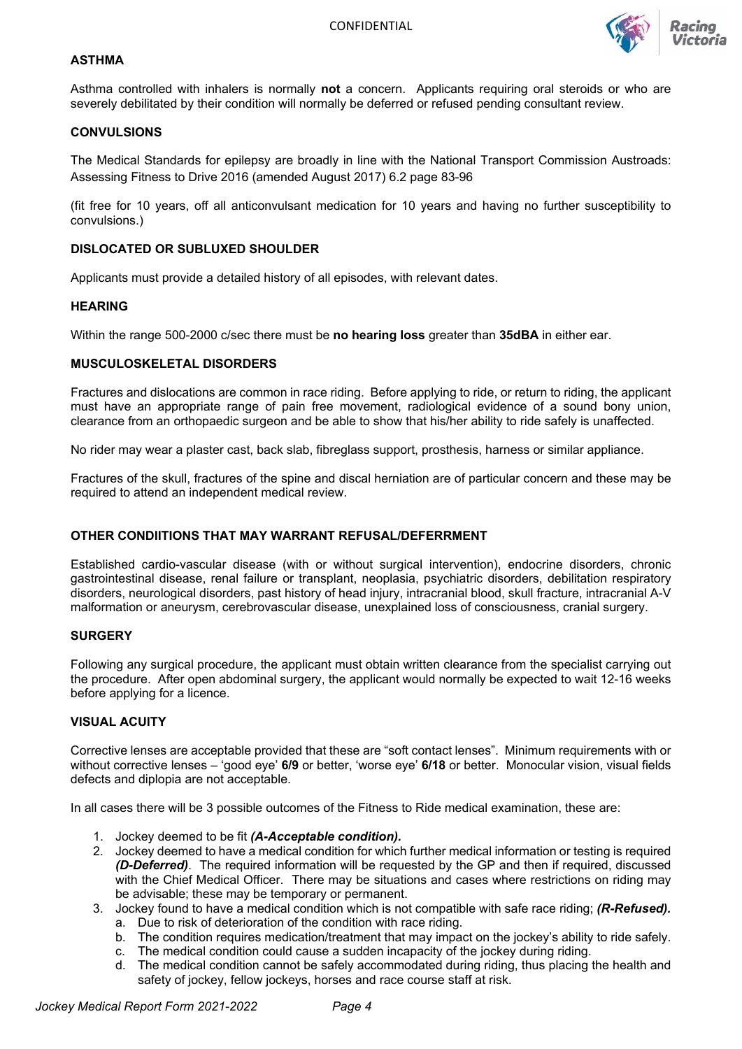

### **ASTHMA**

Asthma controlled with inhalers is normally **not** a concern. Applicants requiring oral steroids or who are severely debilitated by their condition will normally be deferred or refused pending consultant review.

#### **CONVULSIONS**

The Medical Standards for epilepsy are broadly in line with the National Transport Commission Austroads: Assessing Fitness to Drive 2016 (amended August 2017) 6.2 page 83-96

(fit free for 10 years, off all anticonvulsant medication for 10 years and having no further susceptibility to convulsions.)

#### **DISLOCATED OR SUBLUXED SHOULDER**

Applicants must provide a detailed history of all episodes, with relevant dates.

#### **HEARING**

Within the range 500-2000 c/sec there must be **no hearing loss** greater than **35dBA** in either ear.

#### **MUSCULOSKELETAL DISORDERS**

Fractures and dislocations are common in race riding. Before applying to ride, or return to riding, the applicant must have an appropriate range of pain free movement, radiological evidence of a sound bony union, clearance from an orthopaedic surgeon and be able to show that his/her ability to ride safely is unaffected.

No rider may wear a plaster cast, back slab, fibreglass support, prosthesis, harness or similar appliance.

Fractures of the skull, fractures of the spine and discal herniation are of particular concern and these may be required to attend an independent medical review.

#### **OTHER CONDIITIONS THAT MAY WARRANT REFUSAL/DEFERRMENT**

Established cardio-vascular disease (with or without surgical intervention), endocrine disorders, chronic gastrointestinal disease, renal failure or transplant, neoplasia, psychiatric disorders, debilitation respiratory disorders, neurological disorders, past history of head injury, intracranial blood, skull fracture, intracranial A-V malformation or aneurysm, cerebrovascular disease, unexplained loss of consciousness, cranial surgery.

#### **SURGERY**

Following any surgical procedure, the applicant must obtain written clearance from the specialist carrying out the procedure. After open abdominal surgery, the applicant would normally be expected to wait 12-16 weeks before applying for a licence.

### **VISUAL ACUITY**

Corrective lenses are acceptable provided that these are "soft contact lenses". Minimum requirements with or without corrective lenses – 'good eye' **6/9** or better, 'worse eye' **6/18** or better. Monocular vision, visual fields defects and diplopia are not acceptable.

In all cases there will be 3 possible outcomes of the Fitness to Ride medical examination, these are:

- 1. Jockey deemed to be fit *(A-Acceptable condition).*
- 2. Jockey deemed to have a medical condition for which further medical information or testing is required *(D-Deferred)*. The required information will be requested by the GP and then if required, discussed with the Chief Medical Officer. There may be situations and cases where restrictions on riding may be advisable; these may be temporary or permanent.
- 3. Jockey found to have a medical condition which is not compatible with safe race riding; *(R-Refused).*
	- a. Due to risk of deterioration of the condition with race riding.
	- b. The condition requires medication/treatment that may impact on the jockey's ability to ride safely.
	- c. The medical condition could cause a sudden incapacity of the jockey during riding.
	- d. The medical condition cannot be safely accommodated during riding, thus placing the health and safety of jockey, fellow jockeys, horses and race course staff at risk.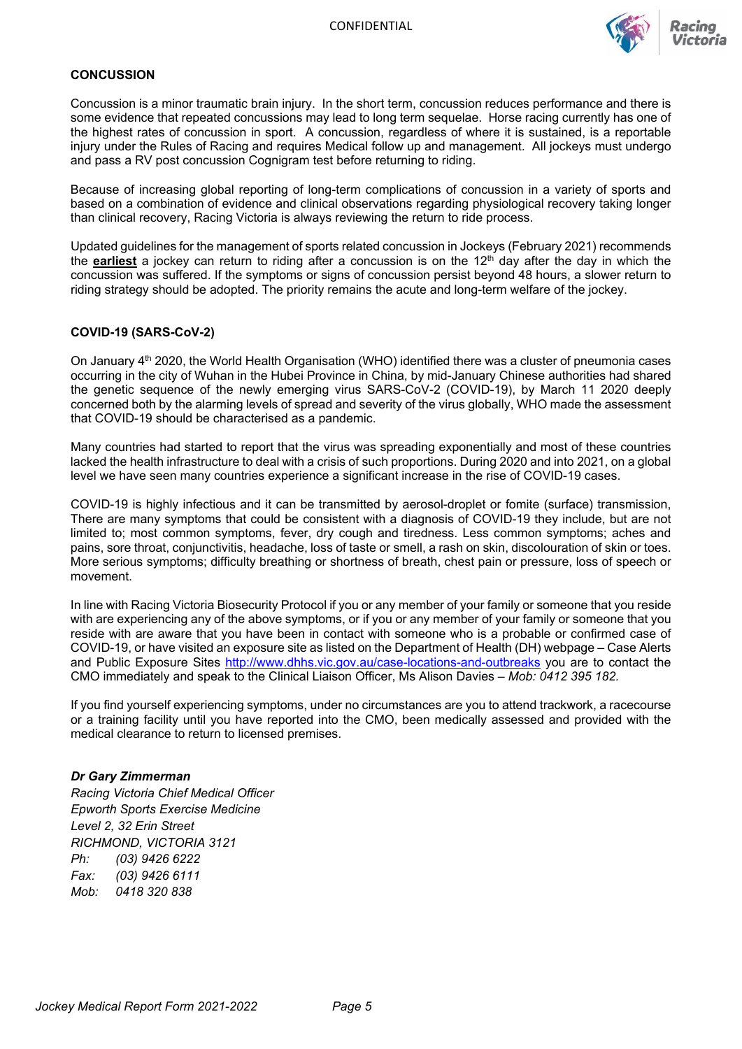

### **CONCUSSION**

Concussion is a minor traumatic brain injury. In the short term, concussion reduces performance and there is some evidence that repeated concussions may lead to long term sequelae. Horse racing currently has one of the highest rates of concussion in sport. A concussion, regardless of where it is sustained, is a reportable injury under the Rules of Racing and requires Medical follow up and management. All jockeys must undergo and pass a RV post concussion Cognigram test before returning to riding.

Because of increasing global reporting of long-term complications of concussion in a variety of sports and based on a combination of evidence and clinical observations regarding physiological recovery taking longer than clinical recovery, Racing Victoria is always reviewing the return to ride process.

Updated guidelines for the management of sports related concussion in Jockeys (February 2021) recommends the **earliest** a jockey can return to riding after a concussion is on the 12<sup>th</sup> day after the day in which the concussion was suffered. If the symptoms or signs of concussion persist beyond 48 hours, a slower return to riding strategy should be adopted. The priority remains the acute and long-term welfare of the jockey.

### **COVID-19 (SARS-CoV-2)**

On January 4<sup>th</sup> 2020, the World Health Organisation (WHO) identified there was a cluster of pneumonia cases occurring in the city of Wuhan in the Hubei Province in China, by mid-January Chinese authorities had shared the genetic sequence of the newly emerging virus SARS-CoV-2 (COVID-19), by March 11 2020 deeply concerned both by the alarming levels of spread and severity of the virus globally, WHO made the assessment that COVID-19 should be characterised as a pandemic.

Many countries had started to report that the virus was spreading exponentially and most of these countries lacked the health infrastructure to deal with a crisis of such proportions. During 2020 and into 2021, on a global level we have seen many countries experience a significant increase in the rise of COVID-19 cases.

COVID-19 is highly infectious and it can be transmitted by aerosol-droplet or fomite (surface) transmission, There are many symptoms that could be consistent with a diagnosis of COVID-19 they include, but are not limited to; most common symptoms, fever, dry cough and tiredness. Less common symptoms; aches and pains, sore throat, conjunctivitis, headache, loss of taste or smell, a rash on skin, discolouration of skin or toes. More serious symptoms; difficulty breathing or shortness of breath, chest pain or pressure, loss of speech or movement.

In line with Racing Victoria Biosecurity Protocol if you or any member of your family or someone that you reside with are experiencing any of the above symptoms, or if you or any member of your family or someone that you reside with are aware that you have been in contact with someone who is a probable or confirmed case of COVID-19, or have visited an exposure site as listed on the Department of Health (DH) webpage – Case Alerts and Public Exposure Sites<http://www.dhhs.vic.gov.au/case-locations-and-outbreaks> you are to contact the CMO immediately and speak to the Clinical Liaison Officer, Ms Alison Davies – *Mob: 0412 395 182.*

If you find yourself experiencing symptoms, under no circumstances are you to attend trackwork, a racecourse or a training facility until you have reported into the CMO, been medically assessed and provided with the medical clearance to return to licensed premises.

#### *Dr Gary Zimmerman*

*Racing Victoria Chief Medical Officer Epworth Sports Exercise Medicine Level 2, 32 Erin Street RICHMOND, VICTORIA 3121 Ph: (03) 9426 6222 Fax: (03) 9426 6111 Mob: 0418 320 838*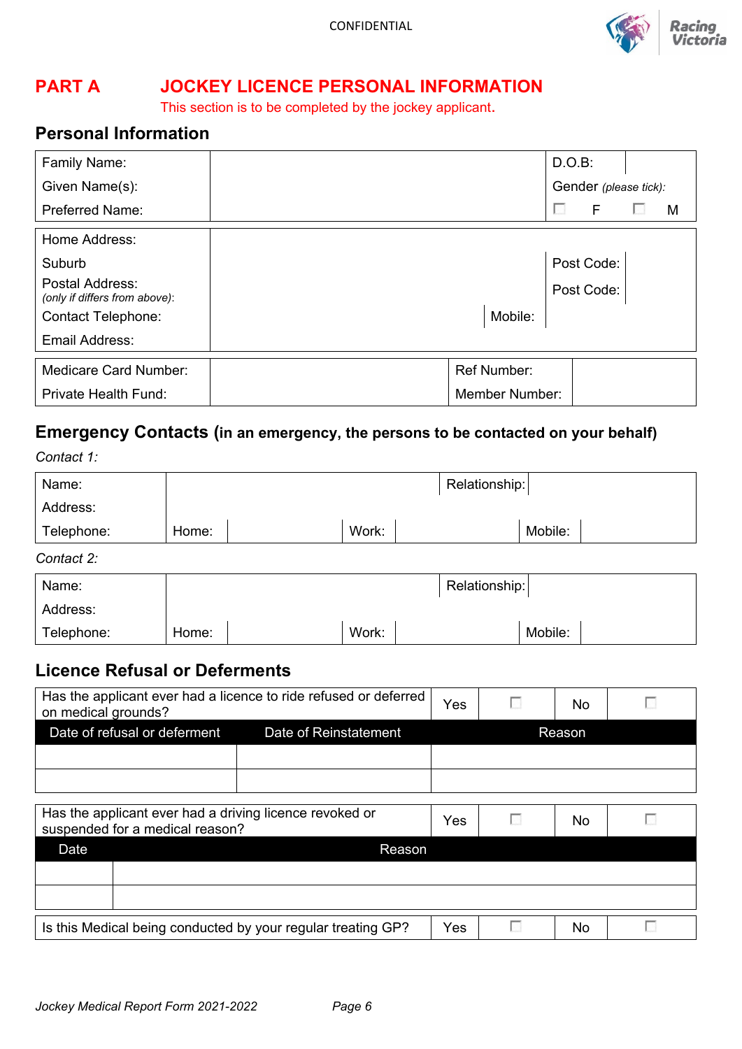

# **PART A JOCKEY LICENCE PERSONAL INFORMATION**

This section is to be completed by the jockey applicant.

# **Personal Information**

| Family Name:                                     |                       | D.O.B: |                       |   |
|--------------------------------------------------|-----------------------|--------|-----------------------|---|
| Given Name(s):                                   |                       |        | Gender (please tick): |   |
| <b>Preferred Name:</b>                           |                       | $\sim$ | F                     | M |
| Home Address:                                    |                       |        |                       |   |
| Suburb                                           |                       |        | Post Code:            |   |
| Postal Address:<br>(only if differs from above): |                       |        | Post Code:            |   |
| <b>Contact Telephone:</b>                        | Mobile:               |        |                       |   |
| Email Address:                                   |                       |        |                       |   |
| <b>Medicare Card Number:</b>                     | <b>Ref Number:</b>    |        |                       |   |
| <b>Private Health Fund:</b>                      | <b>Member Number:</b> |        |                       |   |

# **Emergency Contacts (in an emergency, the persons to be contacted on your behalf)**

*Contact 1:*

| Name:      |       |       | Relationship: |         |  |
|------------|-------|-------|---------------|---------|--|
| Address:   |       |       |               |         |  |
| Telephone: | Home: | Work: |               | Mobile: |  |

*Contact 2:*

| Name:      |       |       | Relationship: |         |  |
|------------|-------|-------|---------------|---------|--|
| Address:   |       |       |               |         |  |
| Telephone: | Home: | Work: |               | Mobile: |  |

## **Licence Refusal or Deferments**

| Has the applicant ever had a licence to ride refused or deferred<br>on medical grounds? |  |        |  | No |  |
|-----------------------------------------------------------------------------------------|--|--------|--|----|--|
| Date of refusal or deferment<br>Date of Reinstatement                                   |  | Reason |  |    |  |
|                                                                                         |  |        |  |    |  |
|                                                                                         |  |        |  |    |  |

|      | Has the applicant ever had a driving licence revoked or<br>suspended for a medical reason? | Yes | No |  |
|------|--------------------------------------------------------------------------------------------|-----|----|--|
| Date | Reason                                                                                     |     |    |  |
|      |                                                                                            |     |    |  |
|      |                                                                                            |     |    |  |
|      | Is this Medical being conducted by your regular treating GP?                               | Yes | No |  |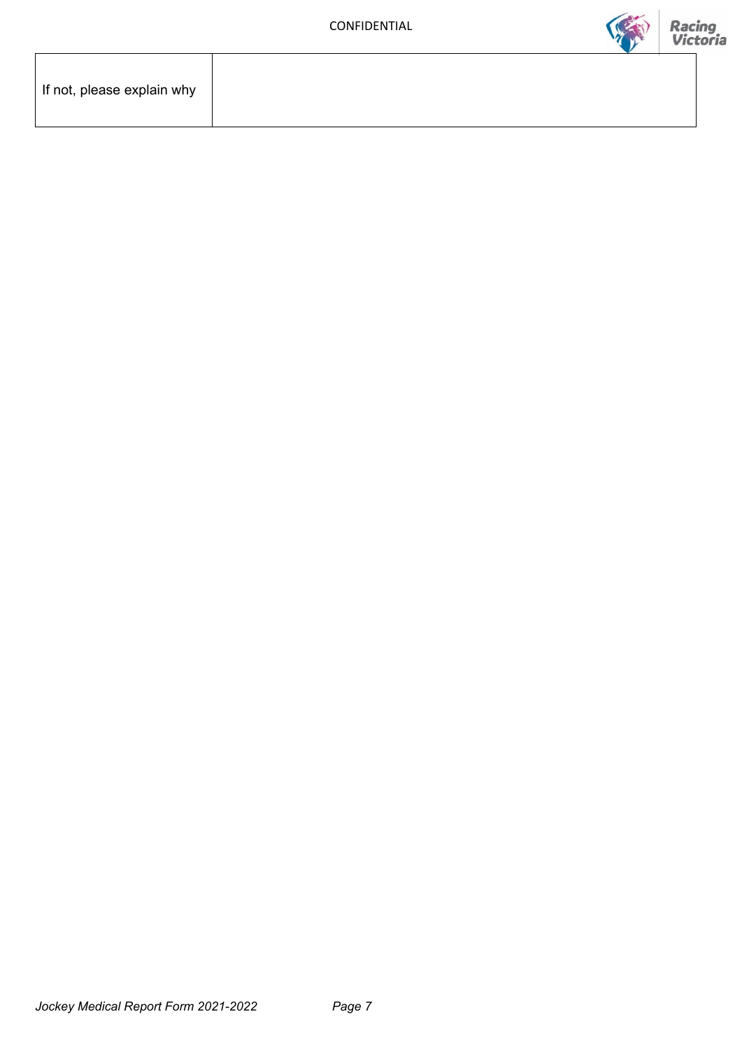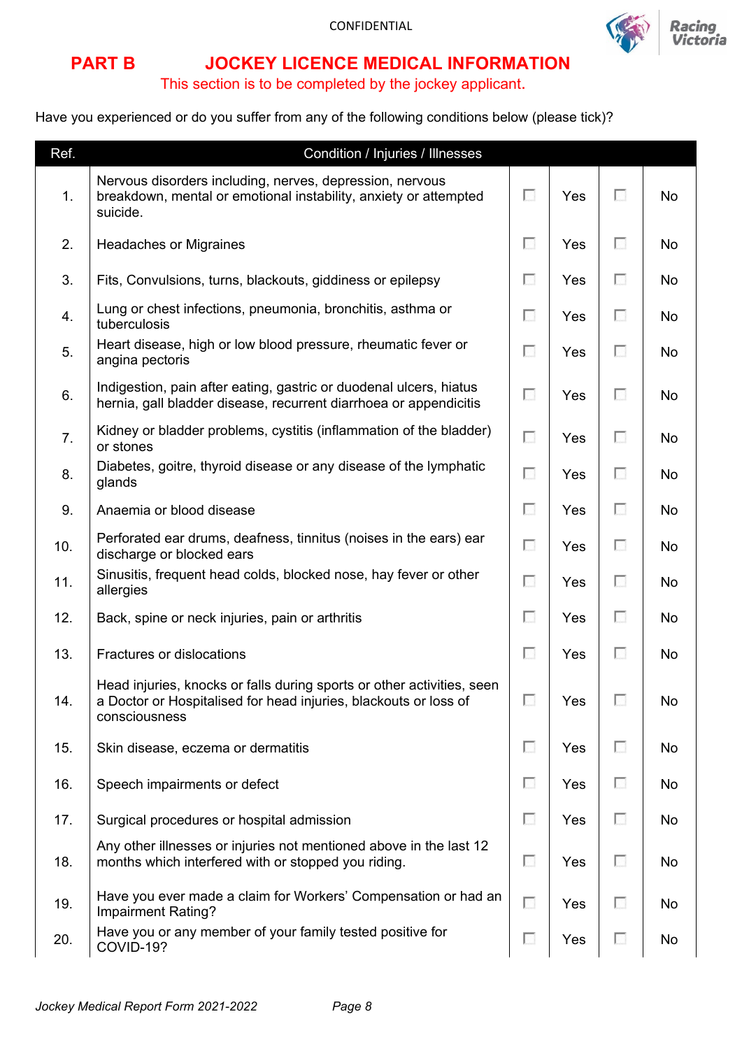

## **PART B JOCKEY LICENCE MEDICAL INFORMATION**

## This section is to be completed by the jockey applicant.

Have you experienced or do you suffer from any of the following conditions below (please tick)?

| Ref.           | Condition / Injuries / Illnesses                                                                                                                            |                          |     |   |           |
|----------------|-------------------------------------------------------------------------------------------------------------------------------------------------------------|--------------------------|-----|---|-----------|
| $\mathbf{1}$ . | Nervous disorders including, nerves, depression, nervous<br>breakdown, mental or emotional instability, anxiety or attempted<br>suicide.                    | F                        | Yes | п | <b>No</b> |
| 2.             | <b>Headaches or Migraines</b>                                                                                                                               | F                        | Yes | п | <b>No</b> |
| 3.             | Fits, Convulsions, turns, blackouts, giddiness or epilepsy                                                                                                  | ⊡                        | Yes | п | <b>No</b> |
| 4.             | Lung or chest infections, pneumonia, bronchitis, asthma or<br>tuberculosis                                                                                  | П                        | Yes | ⊡ | No        |
| 5.             | Heart disease, high or low blood pressure, rheumatic fever or<br>angina pectoris                                                                            | П                        | Yes | ⊡ | No        |
| 6.             | Indigestion, pain after eating, gastric or duodenal ulcers, hiatus<br>hernia, gall bladder disease, recurrent diarrhoea or appendicitis                     | П                        | Yes | F | No        |
| 7.             | Kidney or bladder problems, cystitis (inflammation of the bladder)<br>or stones                                                                             | П                        | Yes | ⊡ | <b>No</b> |
| 8.             | Diabetes, goitre, thyroid disease or any disease of the lymphatic<br>glands                                                                                 | П                        | Yes | п | <b>No</b> |
| 9.             | Anaemia or blood disease                                                                                                                                    | F                        | Yes | ⊡ | <b>No</b> |
| 10.            | Perforated ear drums, deafness, tinnitus (noises in the ears) ear<br>discharge or blocked ears                                                              | П                        | Yes | П | <b>No</b> |
| 11.            | Sinusitis, frequent head colds, blocked nose, hay fever or other<br>allergies                                                                               | П                        | Yes | П | No        |
| 12.            | Back, spine or neck injuries, pain or arthritis                                                                                                             | F                        | Yes | п | No        |
| 13.            | Fractures or dislocations                                                                                                                                   | F                        | Yes | o | <b>No</b> |
| 14.            | Head injuries, knocks or falls during sports or other activities, seen<br>a Doctor or Hospitalised for head injuries, blackouts or loss of<br>consciousness | $\overline{\phantom{a}}$ | Yes |   | No        |
| 15.            | Skin disease, eczema or dermatitis                                                                                                                          | П                        | Yes | П | No        |
| 16.            | Speech impairments or defect                                                                                                                                | F                        | Yes | F | No        |
| 17.            | Surgical procedures or hospital admission                                                                                                                   | o                        | Yes | п | No        |
| 18.            | Any other illnesses or injuries not mentioned above in the last 12<br>months which interfered with or stopped you riding.                                   | F                        | Yes | € | No        |
| 19.            | Have you ever made a claim for Workers' Compensation or had an<br>Impairment Rating?                                                                        | П                        | Yes | o | No        |
| 20.            | Have you or any member of your family tested positive for<br>COVID-19?                                                                                      | $\overline{\phantom{a}}$ | Yes | o | No        |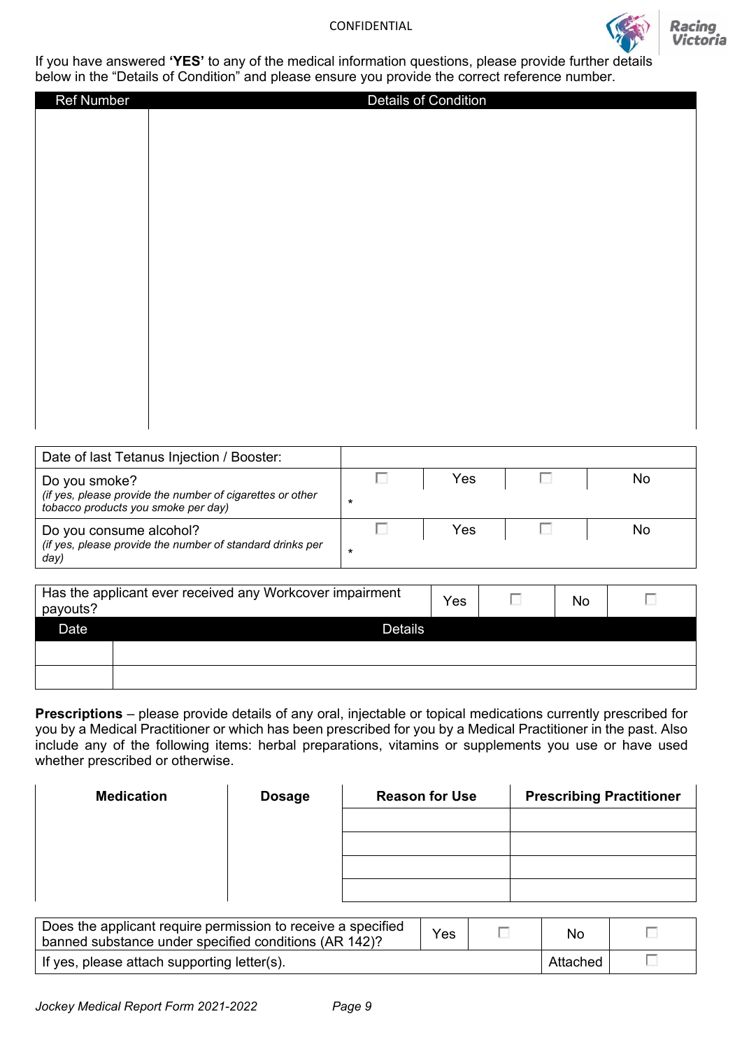

**Racing** Victoria

If you have answered **'YES'** to any of the medical information questions, please provide further details below in the "Details of Condition" and please ensure you provide the correct reference number.

| <b>Ref Number</b> | Details of Condition |
|-------------------|----------------------|
|                   |                      |
|                   |                      |
|                   |                      |
|                   |                      |
|                   |                      |
|                   |                      |
|                   |                      |
|                   |                      |
|                   |                      |
|                   |                      |
|                   |                      |
|                   |                      |
|                   |                      |
|                   |                      |
|                   |                      |
|                   |                      |
|                   |                      |
|                   |                      |
|                   |                      |
|                   |                      |

| Date of last Tetanus Injection / Booster:                                                        |   |     |    |
|--------------------------------------------------------------------------------------------------|---|-----|----|
| Do you smoke?                                                                                    |   | Yes | No |
| (if yes, please provide the number of cigarettes or other<br>tobacco products you smoke per day) | * |     |    |
| Do you consume alcohol?                                                                          |   | Yes | No |
| (if yes, please provide the number of standard drinks per<br>day)                                | * |     |    |

| payouts? | Has the applicant ever received any Workcover impairment | Yes | No |  |
|----------|----------------------------------------------------------|-----|----|--|
| Date     | <b>Details</b>                                           |     |    |  |
|          |                                                          |     |    |  |
|          |                                                          |     |    |  |

**Prescriptions** – please provide details of any oral, injectable or topical medications currently prescribed for you by a Medical Practitioner or which has been prescribed for you by a Medical Practitioner in the past. Also include any of the following items: herbal preparations, vitamins or supplements you use or have used whether prescribed or otherwise.

| <b>Medication</b> | <b>Dosage</b> | <b>Reason for Use</b> | <b>Prescribing Practitioner</b> |
|-------------------|---------------|-----------------------|---------------------------------|
|                   |               |                       |                                 |
|                   |               |                       |                                 |
|                   |               |                       |                                 |
|                   |               |                       |                                 |

| Does the applicant require permission to receive a specified<br>banned substance under specified conditions (AR 142)? | Yes |  | No       |  |
|-----------------------------------------------------------------------------------------------------------------------|-----|--|----------|--|
| If yes, please attach supporting letter(s).                                                                           |     |  | Attached |  |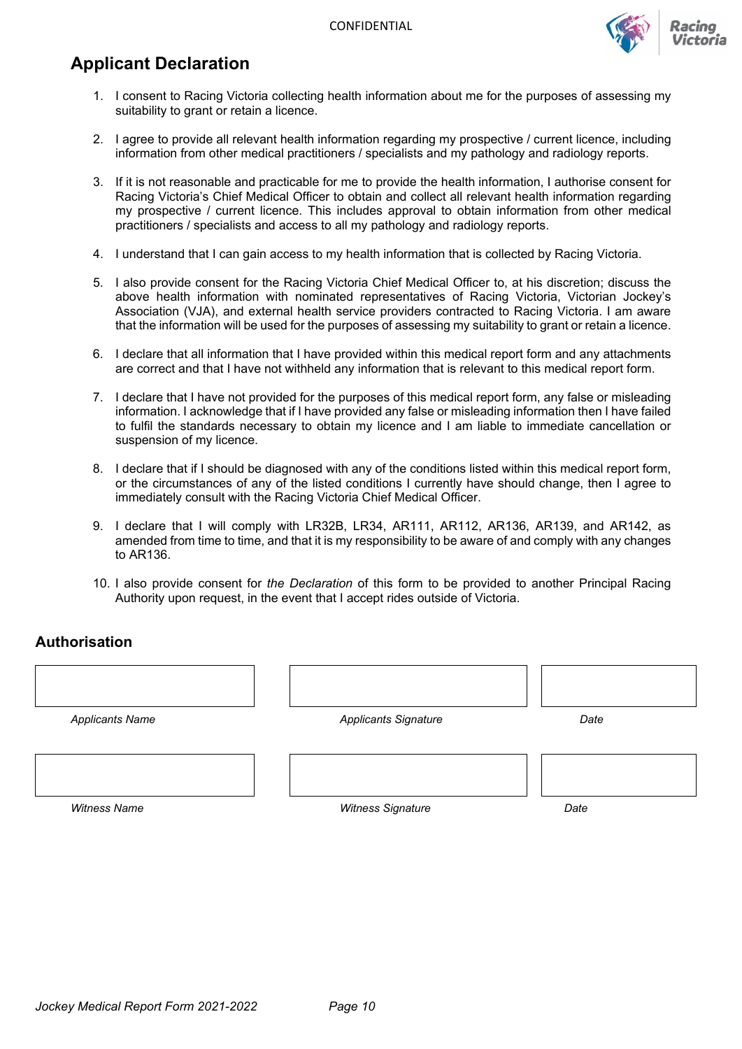

# **Applicant Declaration**

- 1. I consent to Racing Victoria collecting health information about me for the purposes of assessing my suitability to grant or retain a licence.
- 2. I agree to provide all relevant health information regarding my prospective / current licence, including information from other medical practitioners / specialists and my pathology and radiology reports.
- 3. If it is not reasonable and practicable for me to provide the health information, I authorise consent for Racing Victoria's Chief Medical Officer to obtain and collect all relevant health information regarding my prospective / current licence. This includes approval to obtain information from other medical practitioners / specialists and access to all my pathology and radiology reports.
- 4. I understand that I can gain access to my health information that is collected by Racing Victoria.
- 5. I also provide consent for the Racing Victoria Chief Medical Officer to, at his discretion; discuss the above health information with nominated representatives of Racing Victoria, Victorian Jockey's Association (VJA), and external health service providers contracted to Racing Victoria. I am aware that the information will be used for the purposes of assessing my suitability to grant or retain a licence.
- 6. I declare that all information that I have provided within this medical report form and any attachments are correct and that I have not withheld any information that is relevant to this medical report form.
- 7. I declare that I have not provided for the purposes of this medical report form, any false or misleading information. I acknowledge that if I have provided any false or misleading information then I have failed to fulfil the standards necessary to obtain my licence and I am liable to immediate cancellation or suspension of my licence.
- 8. I declare that if I should be diagnosed with any of the conditions listed within this medical report form, or the circumstances of any of the listed conditions I currently have should change, then I agree to immediately consult with the Racing Victoria Chief Medical Officer.
- 9. I declare that I will comply with LR32B, LR34, AR111, AR112, AR136, AR139, and AR142, as amended from time to time, and that it is my responsibility to be aware of and comply with any changes to AR136.
- 10. I also provide consent for *the Declaration* of this form to be provided to another Principal Racing Authority upon request, in the event that I accept rides outside of Victoria.

### **Authorisation**

| <b>Applicants Name</b> | <b>Applicants Signature</b> | Date |
|------------------------|-----------------------------|------|
|                        |                             |      |
|                        |                             |      |
|                        |                             |      |
| <b>Witness Name</b>    | <b>Witness Signature</b>    | Date |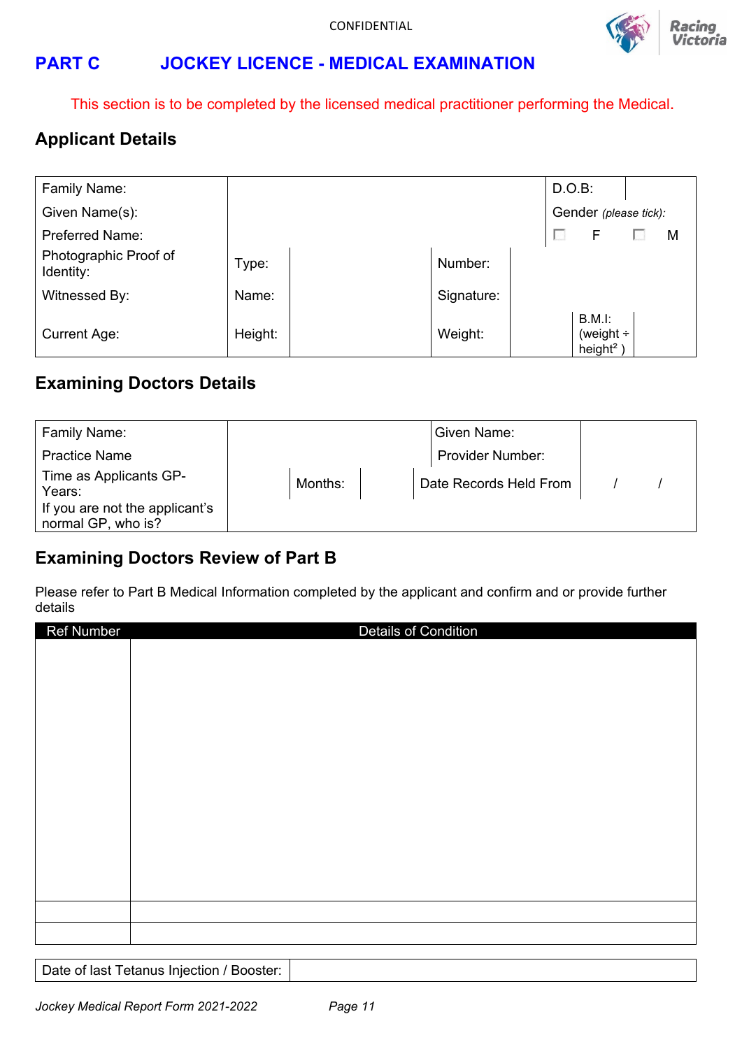

# **PART C JOCKEY LICENCE - MEDICAL EXAMINATION**

This section is to be completed by the licensed medical practitioner performing the Medical.

# **Applicant Details**

| Family Name:                       |         |            | $D.O.B$ : |                                              |   |
|------------------------------------|---------|------------|-----------|----------------------------------------------|---|
| Given Name(s):                     |         |            |           | Gender (please tick):                        |   |
| <b>Preferred Name:</b>             |         |            |           | F                                            | М |
| Photographic Proof of<br>Identity: | Type:   | Number:    |           |                                              |   |
| Witnessed By:                      | Name:   | Signature: |           |                                              |   |
| <b>Current Age:</b>                | Height: | Weight:    |           | B.M.l:<br>(weight ÷<br>height <sup>2</sup> ) |   |

## **Examining Doctors Details**

| Family Name:                                         |         | Given Name:            |  |
|------------------------------------------------------|---------|------------------------|--|
| <b>Practice Name</b>                                 |         | Provider Number:       |  |
| Time as Applicants GP-<br>Years:                     | Months: | Date Records Held From |  |
| If you are not the applicant's<br>normal GP, who is? |         |                        |  |

## **Examining Doctors Review of Part B**

Please refer to Part B Medical Information completed by the applicant and confirm and or provide further details

| <b>Ref Number</b> | <b>Details of Condition</b> |
|-------------------|-----------------------------|
|                   |                             |
|                   |                             |
|                   |                             |
|                   |                             |
|                   |                             |
|                   |                             |
|                   |                             |
|                   |                             |
|                   |                             |
|                   |                             |
|                   |                             |
|                   |                             |
|                   |                             |
|                   |                             |
|                   |                             |
|                   |                             |

Date of last Tetanus Injection / Booster: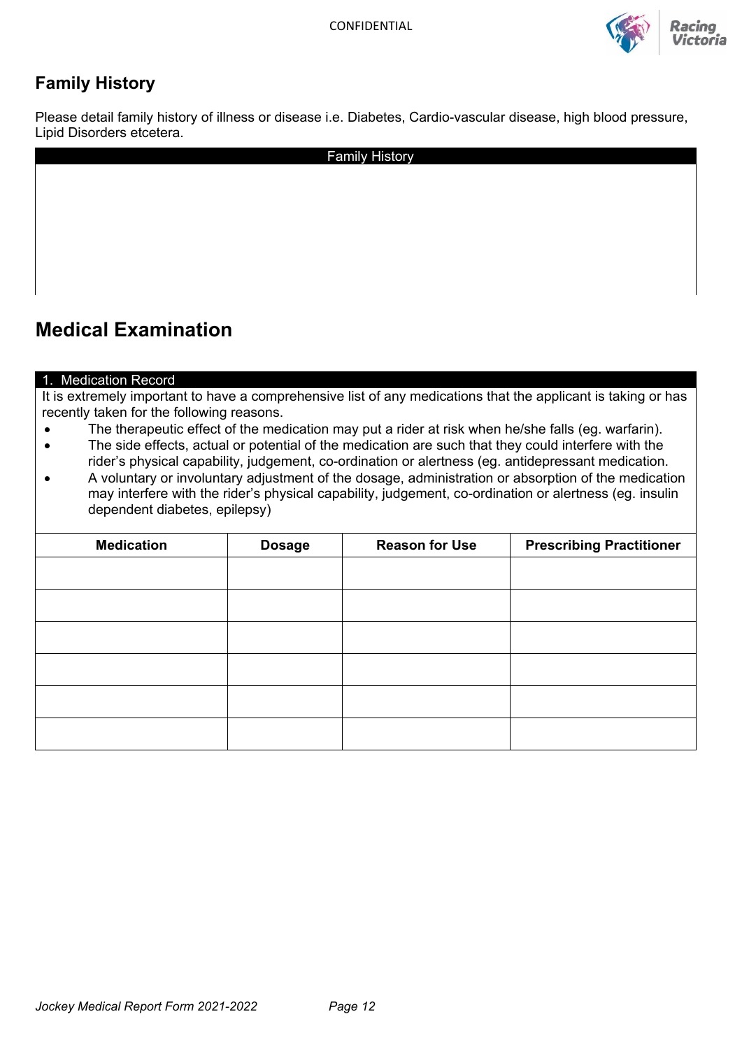

# **Family History**

Please detail family history of illness or disease i.e. Diabetes, Cardio-vascular disease, high blood pressure, Lipid Disorders etcetera.

| <b>Family History</b> |
|-----------------------|
|                       |
|                       |
|                       |
|                       |
|                       |
|                       |
|                       |

# **Medical Examination**

### 1. Medication Record

It is extremely important to have a comprehensive list of any medications that the applicant is taking or has recently taken for the following reasons.

- The therapeutic effect of the medication may put a rider at risk when he/she falls (eg. warfarin).
- The side effects, actual or potential of the medication are such that they could interfere with the rider's physical capability, judgement, co-ordination or alertness (eg. antidepressant medication.
- A voluntary or involuntary adjustment of the dosage, administration or absorption of the medication may interfere with the rider's physical capability, judgement, co-ordination or alertness (eg. insulin dependent diabetes, epilepsy)

| <b>Medication</b> | <b>Dosage</b> | <b>Reason for Use</b> | <b>Prescribing Practitioner</b> |
|-------------------|---------------|-----------------------|---------------------------------|
|                   |               |                       |                                 |
|                   |               |                       |                                 |
|                   |               |                       |                                 |
|                   |               |                       |                                 |
|                   |               |                       |                                 |
|                   |               |                       |                                 |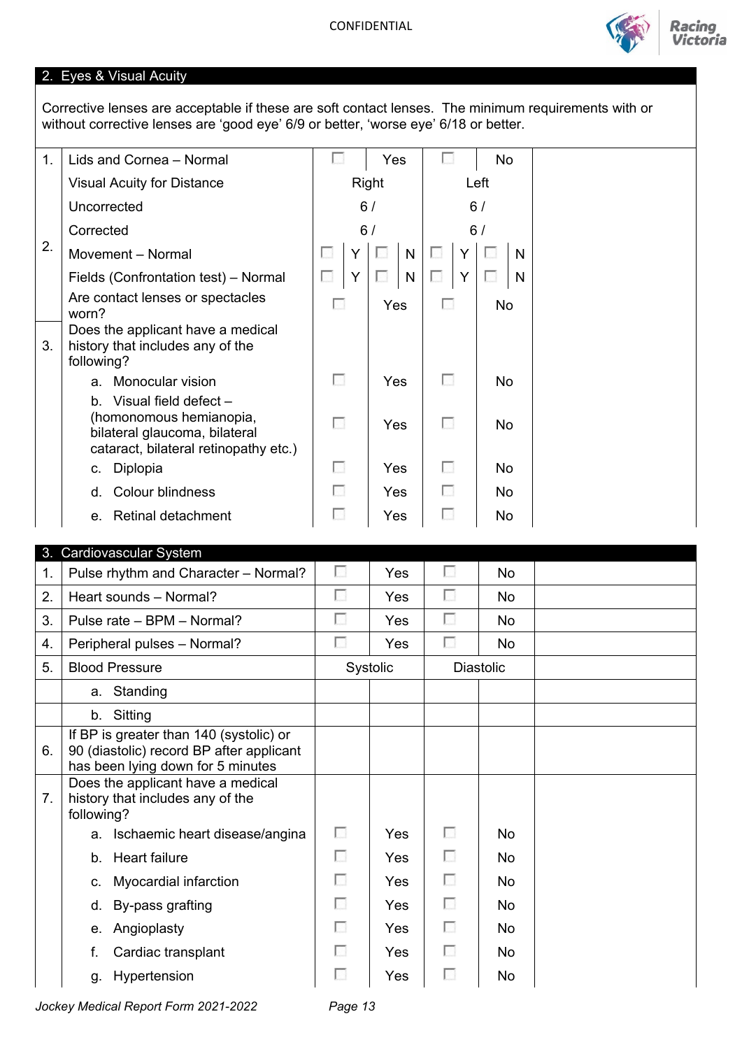

Victoria

## 2. Eyes & Visual Acuity

Corrective lenses are acceptable if these are soft contact lenses. The minimum requirements with or without corrective lenses are 'good eye' 6/9 or better, 'worse eye' 6/18 or better.

| 1. | Lids and Cornea - Normal                                                                                                        |            |              | Yes |              | L. |   | <b>No</b> |   |  |
|----|---------------------------------------------------------------------------------------------------------------------------------|------------|--------------|-----|--------------|----|---|-----------|---|--|
|    | <b>Visual Acuity for Distance</b>                                                                                               |            | <b>Right</b> |     | Left         |    |   |           |   |  |
|    | Uncorrected                                                                                                                     |            | 6/           |     |              |    |   | 6/        |   |  |
|    | Corrected                                                                                                                       |            | 6/           |     |              |    |   | 6/        |   |  |
| 2. | Movement - Normal                                                                                                               | L.         | Y            |     | N            | u  | Y |           | N |  |
|    | Fields (Confrontation test) - Normal                                                                                            | L.         | Y            | U   | $\mathsf{N}$ | ш  | Y | L.        | N |  |
|    | Are contact lenses or spectacles<br>worn?                                                                                       | п          |              | Yes |              | п  |   | <b>No</b> |   |  |
| 3. | Does the applicant have a medical<br>history that includes any of the<br>following?                                             |            |              |     |              |    |   |           |   |  |
|    | Monocular vision<br>a.                                                                                                          | Е          |              | Yes |              | п  |   | No.       |   |  |
|    | b. Visual field defect $-$<br>(homonomous hemianopia,<br>bilateral glaucoma, bilateral<br>cataract, bilateral retinopathy etc.) | П          |              | Yes |              | г  |   | <b>No</b> |   |  |
|    | Diplopia<br>C.                                                                                                                  | <b>COL</b> |              | Yes |              | п  |   | No        |   |  |
|    | <b>Colour blindness</b><br>d.                                                                                                   | н          |              | Yes |              | п  |   | <b>No</b> |   |  |
|    | e. Retinal detachment                                                                                                           |            |              | Yes |              | г  |   | No        |   |  |

|    | 3. Cardiovascular System                                                                                                 |          |          |                          |                  |  |
|----|--------------------------------------------------------------------------------------------------------------------------|----------|----------|--------------------------|------------------|--|
| 1. | Pulse rhythm and Character - Normal?                                                                                     | г        | Yes      | Е                        | <b>No</b>        |  |
| 2. | Heart sounds - Normal?                                                                                                   | г        | Yes      | П                        | <b>No</b>        |  |
| 3. | Pulse rate - BPM - Normal?                                                                                               | г        | Yes      | Π                        | <b>No</b>        |  |
| 4. | Peripheral pulses - Normal?                                                                                              | г        | Yes      | г                        | <b>No</b>        |  |
| 5. | <b>Blood Pressure</b>                                                                                                    |          | Systolic |                          | <b>Diastolic</b> |  |
|    | a. Standing                                                                                                              |          |          |                          |                  |  |
|    | b. Sitting                                                                                                               |          |          |                          |                  |  |
| 6. | If BP is greater than 140 (systolic) or<br>90 (diastolic) record BP after applicant<br>has been lying down for 5 minutes |          |          |                          |                  |  |
| 7. | Does the applicant have a medical<br>history that includes any of the<br>following?                                      |          |          |                          |                  |  |
|    | Ischaemic heart disease/angina<br>a.                                                                                     | г        | Yes      | F                        | No.              |  |
|    | <b>Heart failure</b><br>$b_{-}$                                                                                          | n        | Yes      | F                        | <b>No</b>        |  |
|    | Myocardial infarction<br>C.                                                                                              | п        | Yes      | п                        | No.              |  |
|    | By-pass grafting<br>d.                                                                                                   | п        | Yes      | □                        | No               |  |
|    | Angioplasty<br>е.                                                                                                        | <b>A</b> | Yes      | $\overline{\mathcal{L}}$ | No               |  |
|    | Cardiac transplant<br>f.                                                                                                 | ы        | Yes      | $\mathcal{L}$            | No.              |  |
|    | Hypertension<br>g.                                                                                                       | ы        | Yes      | <b>CO</b>                | No               |  |

*Jockey Medical Report Form 2021-2022 Page 13*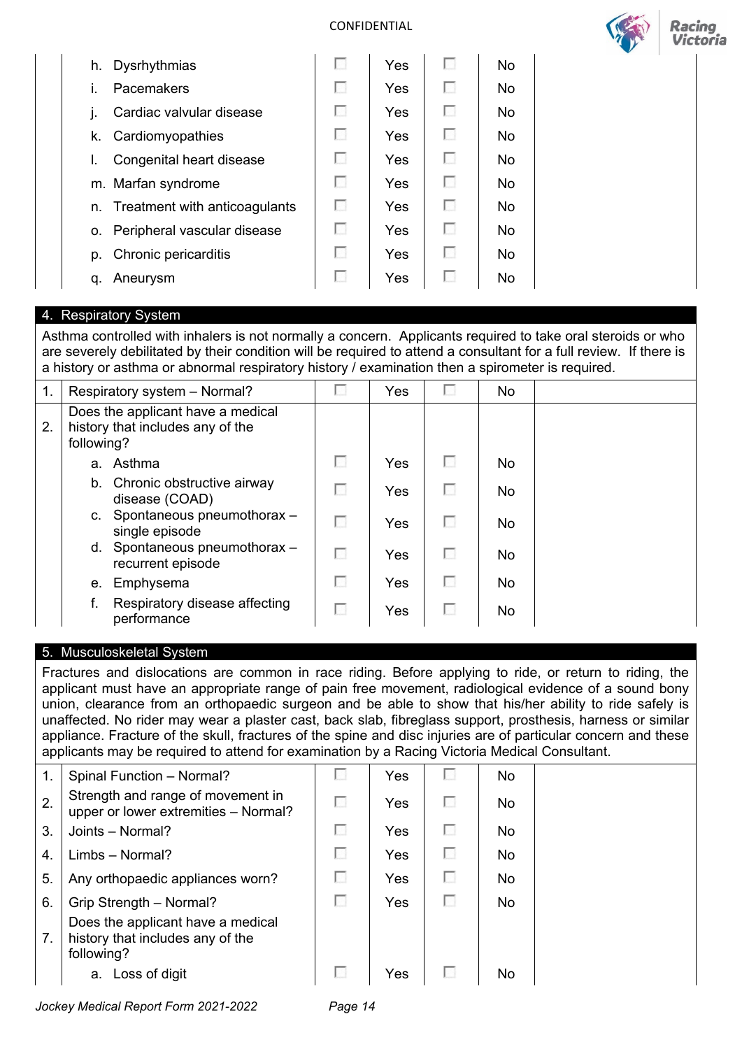

Racing

| Dysrhythmias<br>h.               | н  | Yes | $\sim$     | No.       |  |  |
|----------------------------------|----|-----|------------|-----------|--|--|
| Pacemakers                       | M. | Yes | <b>COL</b> | No        |  |  |
| Cardiac valvular disease         | п  | Yes | <b>COL</b> | No        |  |  |
| Cardiomyopathies<br>k.           | n  | Yes | п          | <b>No</b> |  |  |
| Congenital heart disease         | k. | Yes | н          | No        |  |  |
| m. Marfan syndrome               | п  | Yes | п          | <b>No</b> |  |  |
| n. Treatment with anticoagulants | г  | Yes | <b>COL</b> | No        |  |  |
| o. Peripheral vascular disease   | г  | Yes | <b>COL</b> | No        |  |  |
| p. Chronic pericarditis          | п  | Yes | п          | No        |  |  |
| Aneurysm<br>q.                   | k. | Yes | ы          | No        |  |  |
|                                  |    |     |            |           |  |  |

### 4. Respiratory System

Asthma controlled with inhalers is not normally a concern. Applicants required to take oral steroids or who are severely debilitated by their condition will be required to attend a consultant for a full review. If there is a history or asthma or abnormal respiratory history / examination then a spirometer is required.

| 1. | Respiratory system - Normal?                                                        | г | Yes        |    | No. |  |
|----|-------------------------------------------------------------------------------------|---|------------|----|-----|--|
| 2. | Does the applicant have a medical<br>history that includes any of the<br>following? |   |            |    |     |  |
|    | a. Asthma                                                                           | П | Yes        |    | No. |  |
|    | b. Chronic obstructive airway<br>disease (COAD)                                     | г | <b>Yes</b> |    | No. |  |
|    | c. Spontaneous pneumothorax -<br>single episode                                     | г | Yes        |    | No. |  |
|    | d. Spontaneous pneumothorax -<br>recurrent episode                                  | г | Yes        |    | No. |  |
|    | e. Emphysema                                                                        | г | Yes        | L. | No. |  |
|    | Respiratory disease affecting<br>performance                                        | г | Yes        |    | No. |  |

### 5. Musculoskeletal System

Fractures and dislocations are common in race riding. Before applying to ride, or return to riding, the applicant must have an appropriate range of pain free movement, radiological evidence of a sound bony union, clearance from an orthopaedic surgeon and be able to show that his/her ability to ride safely is unaffected. No rider may wear a plaster cast, back slab, fibreglass support, prosthesis, harness or similar appliance. Fracture of the skull, fractures of the spine and disc injuries are of particular concern and these applicants may be required to attend for examination by a Racing Victoria Medical Consultant.

| $\mathbf 1$ .  | Spinal Function - Normal?                                                           | L. | Yes | No. |  |
|----------------|-------------------------------------------------------------------------------------|----|-----|-----|--|
| 2.             | Strength and range of movement in<br>upper or lower extremities - Normal?           | г  | Yes | No. |  |
| 3.             | Joints - Normal?                                                                    | ш  | Yes | No. |  |
| $\overline{4}$ | Limbs - Normal?                                                                     | н  | Yes | No. |  |
| 5.             | Any orthopaedic appliances worn?                                                    | н  | Yes | No. |  |
| 6.             | Grip Strength - Normal?                                                             | L. | Yes | No. |  |
| 7.             | Does the applicant have a medical<br>history that includes any of the<br>following? |    |     |     |  |
|                | Loss of digit<br>a.                                                                 |    | Yes | No  |  |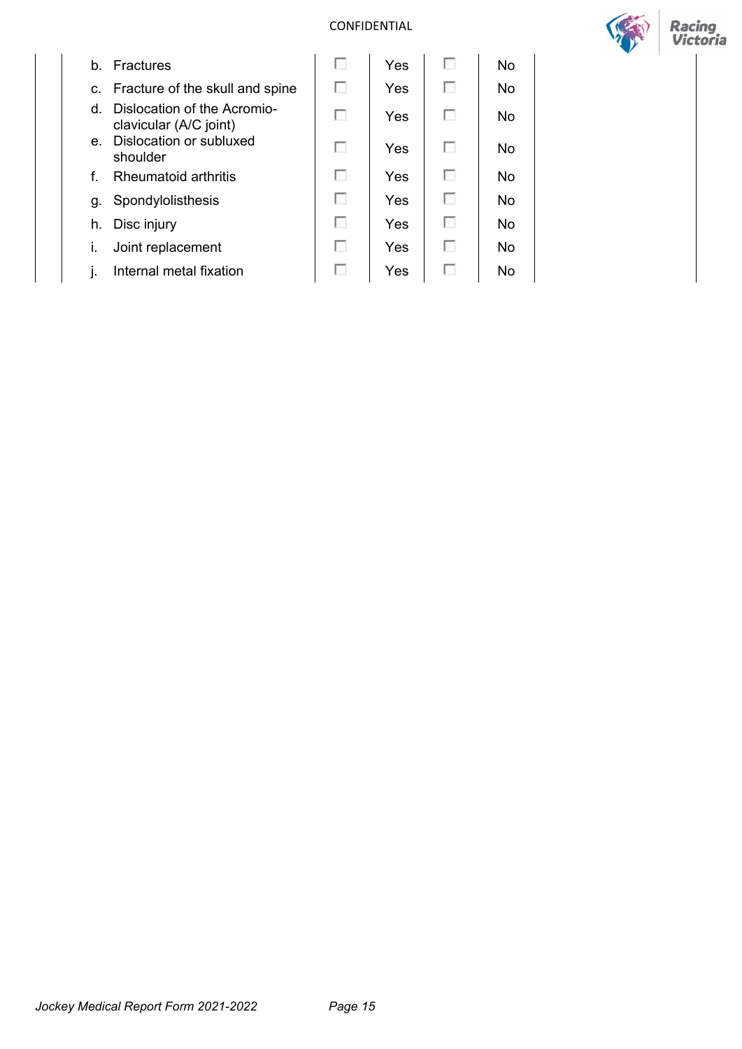

|   | b. Fractures                                             | ы | Yes | ш  | No        |  |
|---|----------------------------------------------------------|---|-----|----|-----------|--|
|   | c. Fracture of the skull and spine                       | г | Yes | Е  | <b>No</b> |  |
|   | d. Dislocation of the Acromio-<br>clavicular (A/C joint) | г | Yes |    | No        |  |
|   | e. Dislocation or subluxed<br>shoulder                   | г | Yes | l. | No        |  |
| f | <b>Rheumatoid arthritis</b>                              | п | Yes | I. | <b>No</b> |  |
|   | g. Spondylolisthesis                                     | г | Yes |    | No        |  |
|   | h. Disc injury                                           | г | Yes | п  | No        |  |
|   | Joint replacement                                        | г | Yes | ш  | <b>No</b> |  |
|   | Internal metal fixation                                  | г | Yes |    | <b>No</b> |  |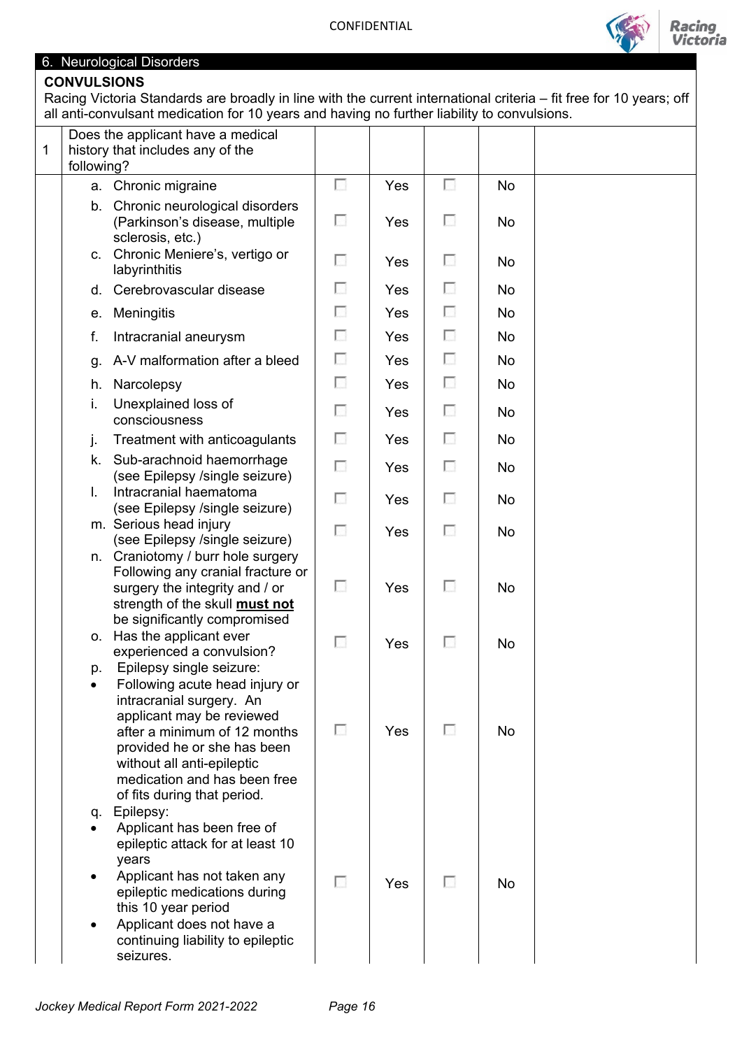

## 6. Neurological Disorders

## **CONVULSIONS**

Racing Victoria Standards are broadly in line with the current international criteria – fit free for 10 years; off all anti-convulsant medication for 10 years and having no further liability to convulsions.

| 1 | Does the applicant have a medical<br>history that includes any of the<br>following?                                                                                                                                                                                                   |   |     |                          |           |  |
|---|---------------------------------------------------------------------------------------------------------------------------------------------------------------------------------------------------------------------------------------------------------------------------------------|---|-----|--------------------------|-----------|--|
|   | Chronic migraine<br>а.                                                                                                                                                                                                                                                                | F | Yes | $\overline{\phantom{a}}$ | <b>No</b> |  |
|   | Chronic neurological disorders<br>b.<br>(Parkinson's disease, multiple<br>sclerosis, etc.)                                                                                                                                                                                            | o | Yes | П                        | No        |  |
|   | Chronic Meniere's, vertigo or<br>$C_{1}$<br>labyrinthitis                                                                                                                                                                                                                             | F | Yes | $\overline{\mathcal{L}}$ | No        |  |
|   | Cerebrovascular disease<br>d.                                                                                                                                                                                                                                                         | П | Yes | П                        | No        |  |
|   | Meningitis<br>е.                                                                                                                                                                                                                                                                      | ⊡ | Yes | П                        | <b>No</b> |  |
|   | f.<br>Intracranial aneurysm                                                                                                                                                                                                                                                           | П | Yes | o                        | No        |  |
|   | g. A-V malformation after a bleed                                                                                                                                                                                                                                                     | o | Yes | П                        | No        |  |
|   | Narcolepsy<br>h.                                                                                                                                                                                                                                                                      | E | Yes | $\overline{\mathcal{C}}$ | <b>No</b> |  |
|   | Unexplained loss of<br>i.<br>consciousness                                                                                                                                                                                                                                            | € | Yes | o                        | <b>No</b> |  |
|   | Treatment with anticoagulants<br>j.                                                                                                                                                                                                                                                   | П | Yes | E                        | No        |  |
|   | Sub-arachnoid haemorrhage<br>k.<br>(see Epilepsy /single seizure)                                                                                                                                                                                                                     | П | Yes | E                        | No        |  |
|   | Intracranial haematoma<br>I.<br>(see Epilepsy /single seizure)                                                                                                                                                                                                                        | П | Yes | $\overline{\mathcal{L}}$ | No        |  |
|   | m. Serious head injury<br>(see Epilepsy /single seizure)                                                                                                                                                                                                                              | € | Yes | $\overline{\phantom{a}}$ | No        |  |
|   | Craniotomy / burr hole surgery<br>n.<br>Following any cranial fracture or<br>surgery the integrity and / or<br>strength of the skull must not<br>be significantly compromised                                                                                                         | F | Yes | п                        | <b>No</b> |  |
|   | Has the applicant ever<br>0.<br>experienced a convulsion?                                                                                                                                                                                                                             | П | Yes | $\overline{\mathcal{C}}$ | No        |  |
|   | Epilepsy single seizure:<br>p.<br>Following acute head injury or<br>intracranial surgery. An<br>applicant may be reviewed<br>after a minimum of 12 months<br>provided he or she has been<br>without all anti-epileptic<br>medication and has been free<br>of fits during that period. | П | Yes | п                        | No        |  |
|   | Epilepsy:<br>q.<br>Applicant has been free of<br>epileptic attack for at least 10<br>years<br>Applicant has not taken any<br>epileptic medications during<br>this 10 year period<br>Applicant does not have a<br>continuing liability to epileptic<br>seizures.                       | г | Yes | п                        | <b>No</b> |  |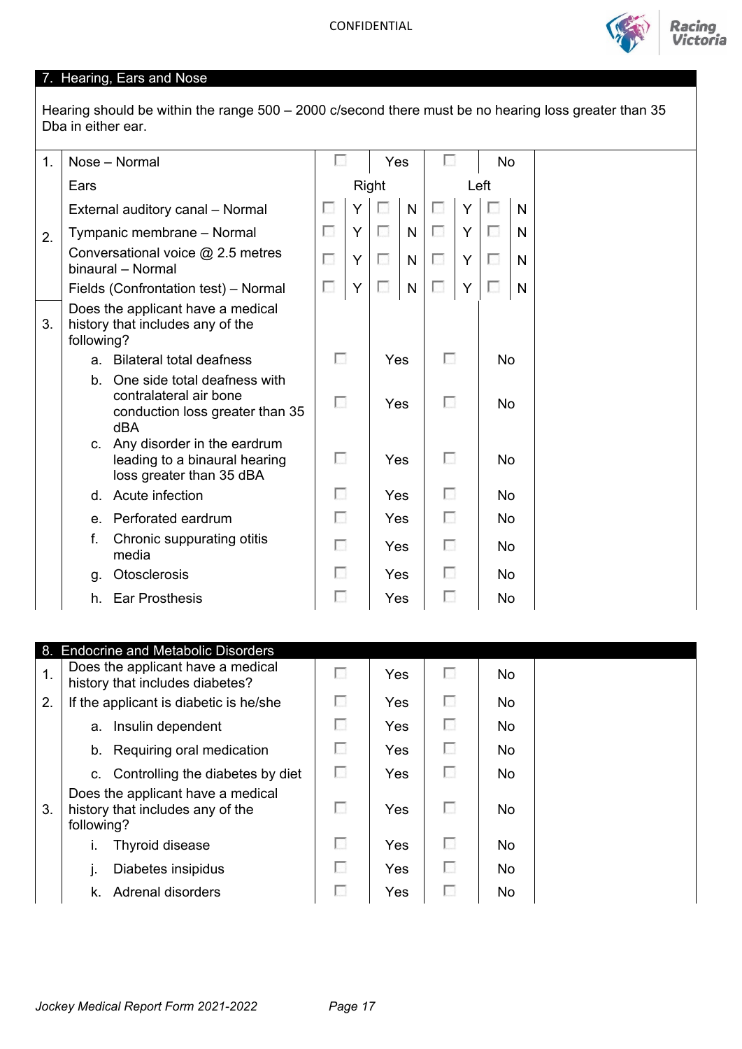

## 7. Hearing, Ears and Nose

Hearing should be within the range 500 – 2000 c/second there must be no hearing loss greater than 35 Dba in either ear.

| 1. |              | Nose - Normal                                                                                    | u  |       | Yes |              |                          |   | No        |    |  |
|----|--------------|--------------------------------------------------------------------------------------------------|----|-------|-----|--------------|--------------------------|---|-----------|----|--|
|    | Ears         |                                                                                                  |    | Right |     |              | Left                     |   |           |    |  |
|    |              | External auditory canal - Normal                                                                 | ш  | Y     |     | $\mathsf{N}$ | <b>I</b>                 | Y | I S       | N. |  |
| 2. |              | Tympanic membrane - Normal                                                                       | ш  | Y     |     | $\mathsf{N}$ | □                        | Y | L.        | N  |  |
|    |              | Conversational voice @ 2.5 metres<br>binaural - Normal                                           | Е  | Y     | ш   | N            | F                        | Y | o         | N  |  |
|    |              | Fields (Confrontation test) - Normal                                                             | L. | Y     | m   | $\mathsf{N}$ | П                        | Y | l.        | N. |  |
| 3. | following?   | Does the applicant have a medical<br>history that includes any of the                            |    |       |     |              |                          |   |           |    |  |
|    | $a_{-}$      | <b>Bilateral total deafness</b>                                                                  | П  |       | Yes |              | $\mathcal{C}(\cdot)$     |   | No        |    |  |
|    | $b_{-}$      | One side total deafness with<br>contralateral air bone<br>conduction loss greater than 35<br>dBA | п  |       | Yes |              | $\mathbb{R}^n$           |   | No        |    |  |
|    | $C_{1}$      | Any disorder in the eardrum<br>leading to a binaural hearing<br>loss greater than 35 dBA         | Е  |       | Yes |              | 1.                       |   | No        |    |  |
|    | $\mathsf{d}$ | Acute infection                                                                                  | п  |       | Yes |              | $\overline{\phantom{a}}$ |   | No        |    |  |
|    |              | e. Perforated eardrum                                                                            | г  |       | Yes |              | г                        |   | <b>No</b> |    |  |
|    | f.           | Chronic suppurating otitis<br>media                                                              | г  |       | Yes |              | $\Box$                   |   | No        |    |  |
|    | g.           | Otosclerosis                                                                                     | г  |       | Yes |              | п                        |   | <b>No</b> |    |  |
|    |              | h. Ear Prosthesis                                                                                | U  |       | Yes |              |                          |   | No        |    |  |

|    | 8. Endocrine and Metabolic Disorders                                                |        |            |     |           |  |
|----|-------------------------------------------------------------------------------------|--------|------------|-----|-----------|--|
| 1. | Does the applicant have a medical<br>history that includes diabetes?                | I.     | Yes        | I S | No.       |  |
| 2. | If the applicant is diabetic is he/she                                              | г      | Yes        | п   | No        |  |
|    | a. Insulin dependent                                                                | $\sim$ | Yes        | L.  | No.       |  |
|    | b. Requiring oral medication                                                        | г      | <b>Yes</b> | I.  | No.       |  |
|    | c. Controlling the diabetes by diet                                                 | г      | Yes        | I.  | No.       |  |
| 3. | Does the applicant have a medical<br>history that includes any of the<br>following? | г      | Yes        | ш   | No.       |  |
|    | Thyroid disease                                                                     | г      | Yes        | ш   | <b>No</b> |  |
|    | Diabetes insipidus                                                                  | г      | Yes        | I.  | No        |  |
|    | k. Adrenal disorders                                                                | ш      | Yes        | L.  | No        |  |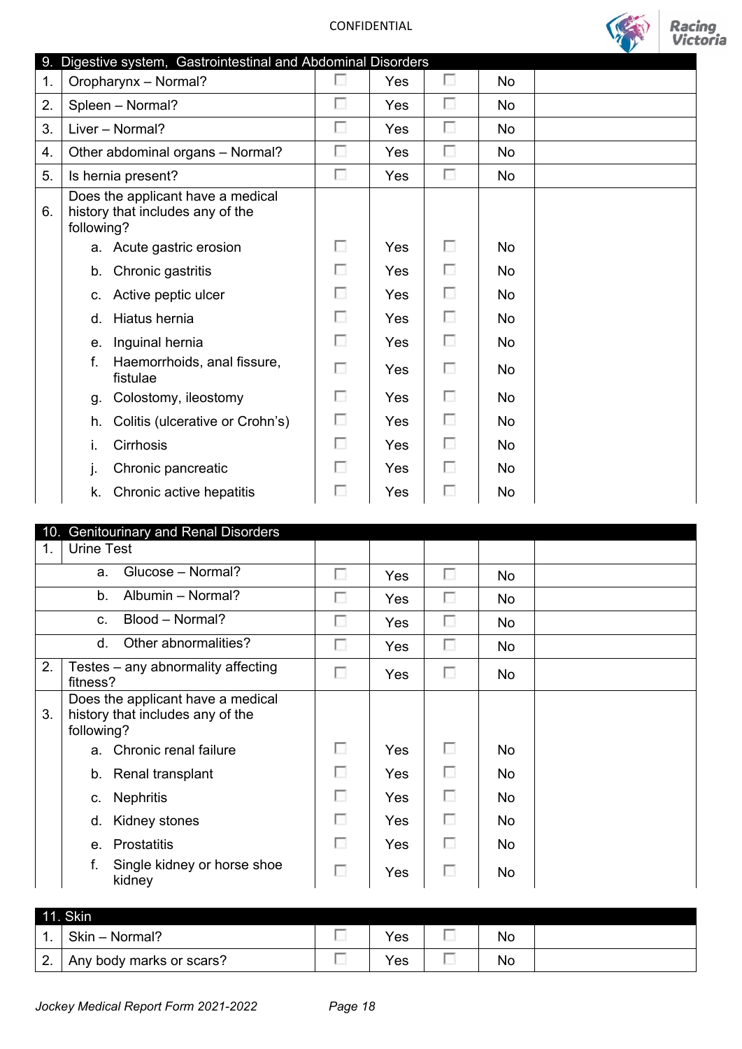

|    | 9. Digestive system, Gastrointestinal and Abdominal Disorders                       |   |     |   |           |  |
|----|-------------------------------------------------------------------------------------|---|-----|---|-----------|--|
| 1. | Oropharynx - Normal?                                                                | П | Yes | г | No        |  |
| 2. | Spleen - Normal?                                                                    | Е | Yes | ⊡ | No        |  |
| 3. | Liver - Normal?                                                                     | г | Yes | Г | No        |  |
| 4. | Other abdominal organs - Normal?                                                    | П | Yes | П | No        |  |
| 5. | Is hernia present?                                                                  | г | Yes | Е | No        |  |
| 6. | Does the applicant have a medical<br>history that includes any of the<br>following? |   |     |   |           |  |
|    | a. Acute gastric erosion                                                            | П | Yes | П | No        |  |
|    | b. Chronic gastritis                                                                | п | Yes | Е | No.       |  |
|    | Active peptic ulcer<br>C.                                                           | П | Yes | П | <b>No</b> |  |
|    | Hiatus hernia<br>d.                                                                 | п | Yes | Е | <b>No</b> |  |
|    | Inguinal hernia<br>e.                                                               | П | Yes | П | No.       |  |
|    | f.<br>Haemorrhoids, anal fissure,<br>fistulae                                       | г | Yes | o | No        |  |
|    | Colostomy, ileostomy<br>g.                                                          | п | Yes | Е | No        |  |
|    | Colitis (ulcerative or Crohn's)<br>h.                                               | П | Yes | п | No        |  |
|    | i.<br>Cirrhosis                                                                     | Е | Yes | п | No        |  |
|    | Chronic pancreatic<br>j.                                                            | n | Yes | Œ | No        |  |
|    | Chronic active hepatitis<br>k.                                                      | п | Yes | ш | No        |  |
|    |                                                                                     |   |     |   |           |  |

| 10.            | <b>Genitourinary and Renal Disorders</b>                                            |        |     |   |           |  |
|----------------|-------------------------------------------------------------------------------------|--------|-----|---|-----------|--|
| $\mathbf{1}$ . | Urine Test                                                                          |        |     |   |           |  |
|                | Glucose - Normal?<br>a.                                                             | г      | Yes | П | No        |  |
|                | Albumin - Normal?<br>$b_{-}$                                                        | г      | Yes | F | No        |  |
|                | Blood - Normal?<br>C.                                                               | П      | Yes | П | <b>No</b> |  |
|                | Other abnormalities?<br>d.                                                          |        | Yes | Π | No        |  |
| 2.             | Testes – any abnormality affecting<br>fitness?                                      | г      | Yes | П | No        |  |
| 3.             | Does the applicant have a medical<br>history that includes any of the<br>following? |        |     |   |           |  |
|                | a. Chronic renal failure                                                            | г      | Yes | o | No        |  |
|                | b. Renal transplant                                                                 | п      | Yes | F | <b>No</b> |  |
|                | <b>Nephritis</b><br>C.                                                              | п      | Yes | П | No        |  |
|                | Kidney stones<br>d.                                                                 | п      | Yes | □ | <b>No</b> |  |
|                | <b>Prostatitis</b><br>$e_{-}$                                                       | D      | Yes | п | <b>No</b> |  |
|                | f.<br>Single kidney or horse shoe<br>kidney                                         | $\sim$ | Yes | ш | <b>No</b> |  |

| 44                 | 11. Skin                 |  |     |  |    |  |  |
|--------------------|--------------------------|--|-----|--|----|--|--|
| . .                | Skin - Normal?           |  | Yes |  | No |  |  |
| $\sim$<br><u>.</u> | Any body marks or scars? |  | Yes |  | No |  |  |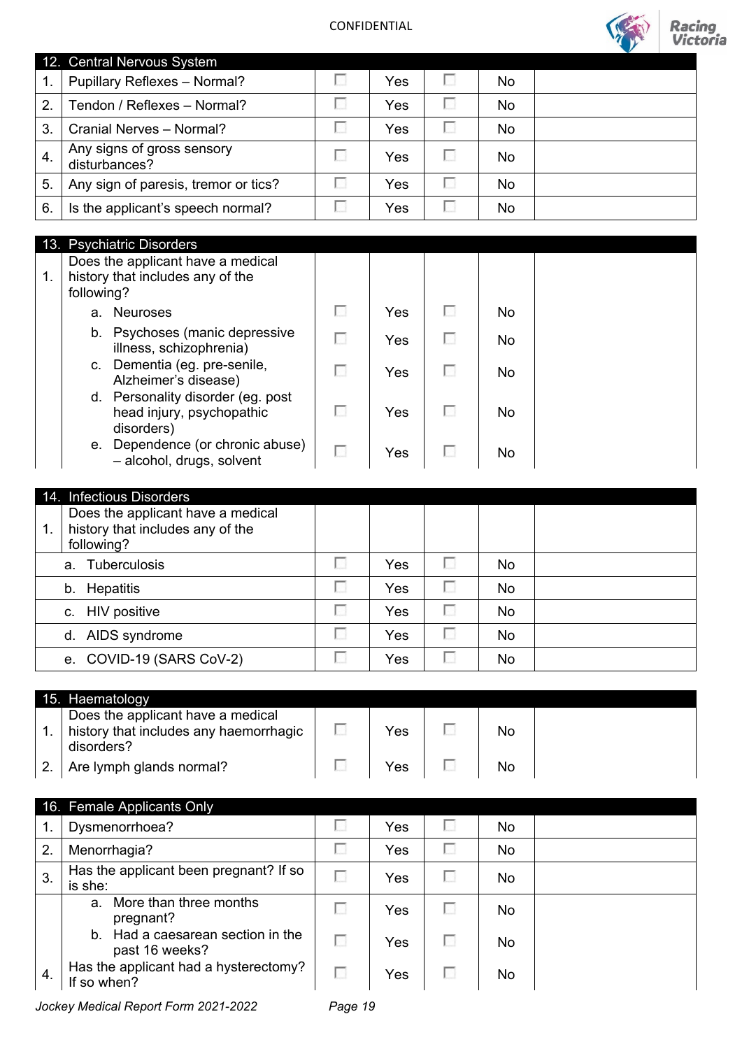

|    | 12. Central Nervous System                  |   |     |    |  |
|----|---------------------------------------------|---|-----|----|--|
| 1. | Pupillary Reflexes - Normal?                |   | Yes | No |  |
| 2. | Tendon / Reflexes - Normal?                 |   | Yes | No |  |
| 3. | Cranial Nerves - Normal?                    |   | Yes | No |  |
| 4. | Any signs of gross sensory<br>disturbances? | ш | Yes | No |  |
| 5. | Any sign of paresis, tremor or tics?        |   | Yes | No |  |
| 6. | Is the applicant's speech normal?           |   | Yes | No |  |

|  | 13. Psychiatric Disorders |
|--|---------------------------|
|  |                           |

| 1. | following? | $10.1$ $9.9110010$ $10010010$<br>Does the applicant have a medical<br>history that includes any of the |    |     |          |     |  |
|----|------------|--------------------------------------------------------------------------------------------------------|----|-----|----------|-----|--|
|    |            | a. Neuroses                                                                                            | L. | Yes | <b>I</b> | No. |  |
|    |            | b. Psychoses (manic depressive<br>illness, schizophrenia)                                              |    | Yes |          | No. |  |
|    |            | c. Dementia (eg. pre-senile,<br>Alzheimer's disease)                                                   |    | Yes |          | No. |  |
|    |            | d. Personality disorder (eg. post<br>head injury, psychopathic<br>disorders)                           |    | Yes |          | No. |  |
|    |            | e. Dependence (or chronic abuse)<br>- alcohol, drugs, solvent                                          |    | Yes |          | No. |  |

| 14. Infectious Disorders                                                                  |          |     |   |     |  |
|-------------------------------------------------------------------------------------------|----------|-----|---|-----|--|
| Does the applicant have a medical<br>history that includes any of the<br>1.<br>following? |          |     |   |     |  |
| a. Tuberculosis                                                                           | п        | Yes | г | No. |  |
| b. Hepatitis                                                                              | п        | Yes | П | No. |  |
| c. HIV positive                                                                           | <b>I</b> | Yes | п | No  |  |
| d. AIDS syndrome                                                                          | п        | Yes | г | No  |  |
| e. COVID-19 (SARS CoV-2)                                                                  |          | Yes |   | No. |  |

| 15. Haematology                                                                           |     |    |  |
|-------------------------------------------------------------------------------------------|-----|----|--|
| Does the applicant have a medical<br>history that includes any haemorrhagic<br>disorders? | Yes | No |  |
| Are lymph glands normal?                                                                  | Yes | No |  |

|     | 16. Female Applicants Only                           |    |     |  |    |  |  |  |  |  |
|-----|------------------------------------------------------|----|-----|--|----|--|--|--|--|--|
|     | Dysmenorrhoea?                                       | L. | Yes |  | No |  |  |  |  |  |
| 2.  | Menorrhagia?                                         | г  | Yes |  | No |  |  |  |  |  |
| 3.  | Has the applicant been pregnant? If so<br>is she:    | г  | Yes |  | No |  |  |  |  |  |
|     | a. More than three months<br>pregnant?               | г  | Yes |  | No |  |  |  |  |  |
|     | b. Had a caesarean section in the<br>past 16 weeks?  | г  | Yes |  | No |  |  |  |  |  |
| -4. | Has the applicant had a hysterectomy?<br>If so when? |    | Yes |  | No |  |  |  |  |  |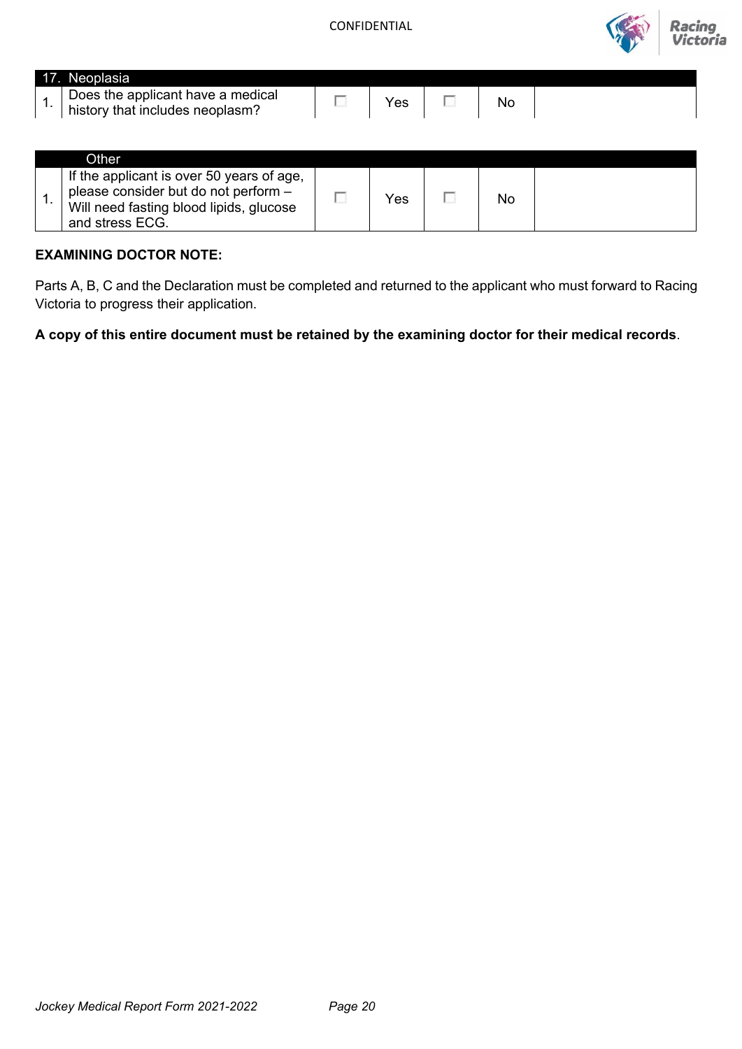

| Neoplasia                         |    |     |  |
|-----------------------------------|----|-----|--|
| Does the applicant have a medical | es | No. |  |
| history that includes neoplasm'.  |    |     |  |

| Other.                                                                                                                                          |     |    |  |
|-------------------------------------------------------------------------------------------------------------------------------------------------|-----|----|--|
| If the applicant is over 50 years of age,<br>please consider but do not perform -<br>Will need fasting blood lipids, glucose<br>and stress ECG. | Yes | No |  |

### **EXAMINING DOCTOR NOTE:**

Parts A, B, C and the Declaration must be completed and returned to the applicant who must forward to Racing Victoria to progress their application.

**A copy of this entire document must be retained by the examining doctor for their medical records**.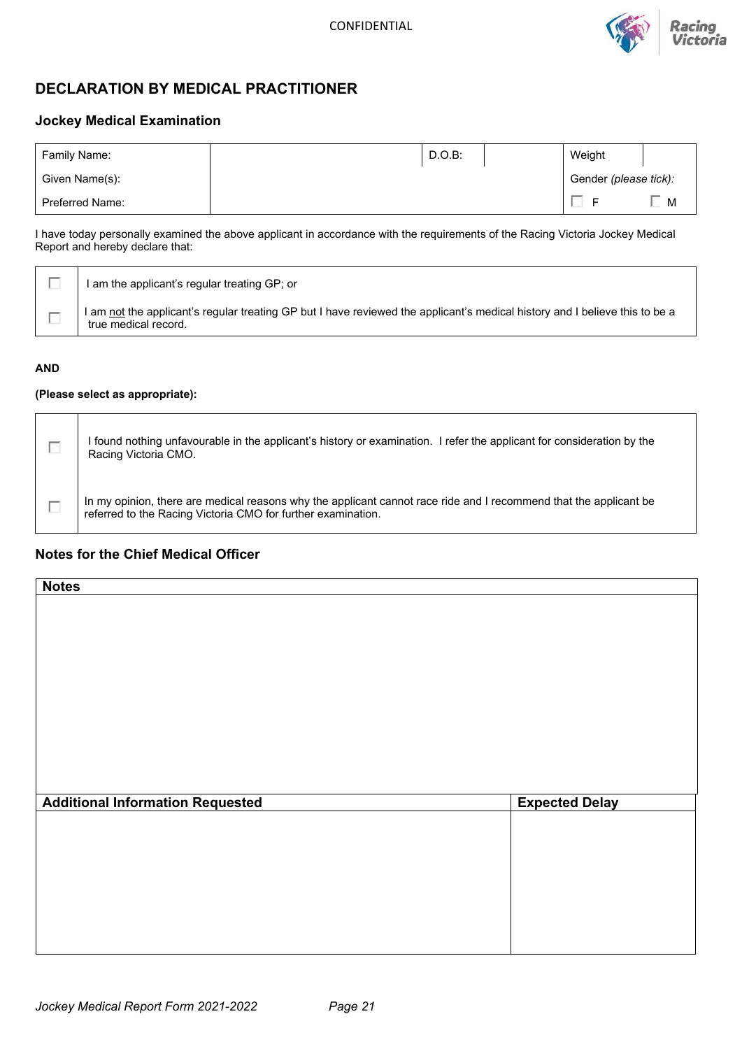

## **DECLARATION BY MEDICAL PRACTITIONER**

### **Jockey Medical Examination**

| Family Name:<br>D.O.B  |  |  | Weight |                       |  |
|------------------------|--|--|--------|-----------------------|--|
| Given Name(s):         |  |  |        | Gender (please tick): |  |
| <b>Preferred Name:</b> |  |  |        | M                     |  |

I have today personally examined the above applicant in accordance with the requirements of the Racing Victoria Jockey Medical Report and hereby declare that:

|  | I am the applicant's regular treating GP; or                                                                                                        |
|--|-----------------------------------------------------------------------------------------------------------------------------------------------------|
|  | I am not the applicant's regular treating GP but I have reviewed the applicant's medical history and I believe this to be a<br>true medical record. |

### **AND**

### **(Please select as appropriate):**

| I found nothing unfavourable in the applicant's history or examination. I refer the applicant for consideration by the<br>Racing Victoria CMO.                                    |
|-----------------------------------------------------------------------------------------------------------------------------------------------------------------------------------|
| In my opinion, there are medical reasons why the applicant cannot race ride and I recommend that the applicant be<br>referred to the Racing Victoria CMO for further examination. |

### **Notes for the Chief Medical Officer**

| <b>Notes</b>                            |                       |
|-----------------------------------------|-----------------------|
|                                         |                       |
|                                         |                       |
|                                         |                       |
|                                         |                       |
|                                         |                       |
|                                         |                       |
|                                         |                       |
|                                         |                       |
|                                         |                       |
|                                         |                       |
|                                         |                       |
| <b>Additional Information Requested</b> | <b>Expected Delay</b> |
|                                         |                       |
|                                         |                       |
|                                         |                       |
|                                         |                       |
|                                         |                       |
|                                         |                       |
|                                         |                       |
|                                         |                       |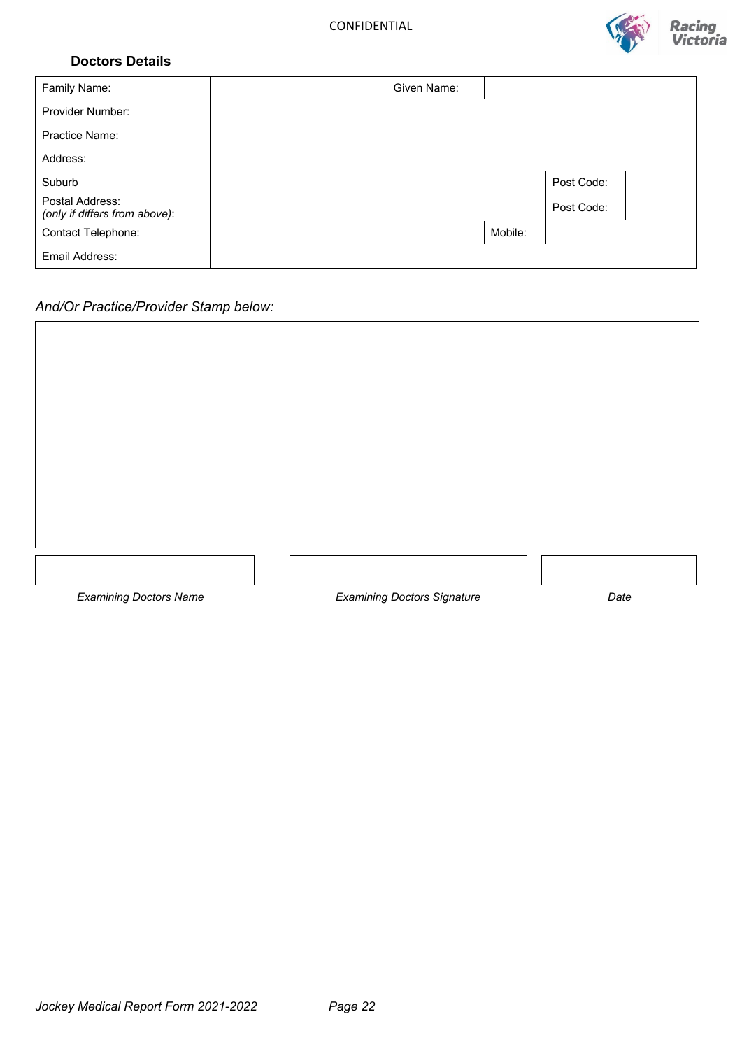

### **Doctors Details**

| Family Name:                                     | Given Name: |         |            |  |
|--------------------------------------------------|-------------|---------|------------|--|
| Provider Number:                                 |             |         |            |  |
| Practice Name:                                   |             |         |            |  |
| Address:                                         |             |         |            |  |
| Suburb                                           |             |         | Post Code: |  |
| Postal Address:<br>(only if differs from above): |             |         | Post Code: |  |
| Contact Telephone:                               |             | Mobile: |            |  |
| Email Address:                                   |             |         |            |  |

### *And/Or Practice/Provider Stamp below:*

| <b>Examining Doctors Name</b> | <b>Examining Doctors Signature</b> | Date |
|-------------------------------|------------------------------------|------|